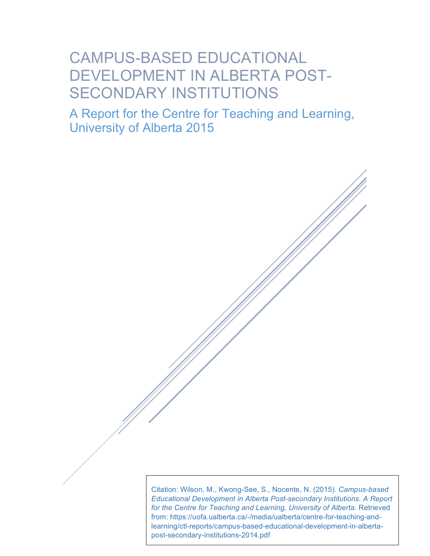# CAMPUS-BASED EDUCATIONAL DEVELOPMENT IN ALBERTA POST-SECONDARY INSTITUTIONS

A Report for the Centre for Teaching and Learning, University of Alberta 2015

> Citation: Wilson, M., Kwong-See, S., Nocente, N. (2015). *Campus-based Educational Development in Alberta Post-secondary Institutions. A Report for the Centre for Teaching and Learning, University of Alberta.* Retrieved from: https://uofa.ualberta.ca/-/media/ualberta/centre-for-teaching-andlearning/ctl-reports/campus-based-educational-development-in-albertapost-secondary-institutions-2014.pdf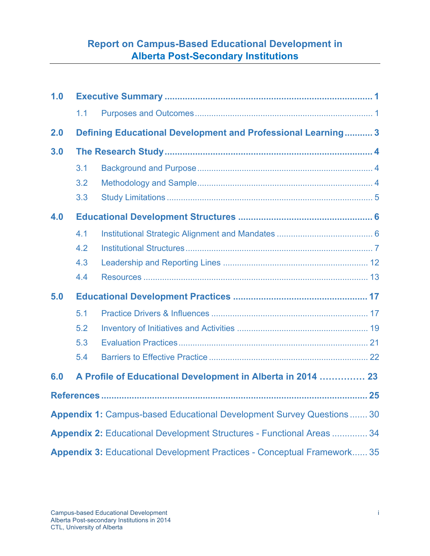### **Report on Campus-Based Educational Development in Alberta Post-Secondary Institutions**

| 1.0 |     |                                                                                |  |
|-----|-----|--------------------------------------------------------------------------------|--|
|     | 1.1 |                                                                                |  |
| 2.0 |     | <b>Defining Educational Development and Professional Learning 3</b>            |  |
| 3.0 |     |                                                                                |  |
|     | 3.1 |                                                                                |  |
|     | 3.2 |                                                                                |  |
|     | 3.3 |                                                                                |  |
| 4.0 |     |                                                                                |  |
|     | 4.1 |                                                                                |  |
|     | 4.2 |                                                                                |  |
|     | 4.3 |                                                                                |  |
|     | 4.4 |                                                                                |  |
| 5.0 |     |                                                                                |  |
|     | 5.1 |                                                                                |  |
|     | 5.2 |                                                                                |  |
|     | 5.3 |                                                                                |  |
|     | 5.4 |                                                                                |  |
| 6.0 |     | A Profile of Educational Development in Alberta in 2014  23                    |  |
|     |     |                                                                                |  |
|     |     | <b>Appendix 1: Campus-based Educational Development Survey Questions 30</b>    |  |
|     |     | <b>Appendix 2: Educational Development Structures - Functional Areas  34</b>   |  |
|     |     | <b>Appendix 3: Educational Development Practices - Conceptual Framework 35</b> |  |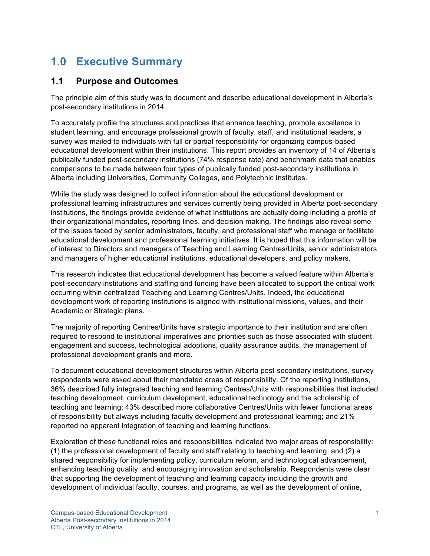## **1.0 Executive Summary**

### **1.1 Purpose and Outcomes**

The principle aim of this study was to document and describe educational development in Alberta's post-secondary institutions in 2014.

To accurately profile the structures and practices that enhance teaching, promote excellence in student learning, and encourage professional growth of faculty, staff, and institutional leaders, a survey was mailed to individuals with full or partial responsibility for organizing campus-based educational development within their institutions. This report provides an inventory of 14 of Alberta's publically funded post-secondary institutions (74% response rate) and benchmark data that enables comparisons to be made between four types of publically funded post-secondary institutions in Alberta including Universities, Community Colleges, and Polytechnic Institutes.

While the study was designed to collect information about the educational development or professional learning infrastructures and services currently being provided in Alberta post-secondary institutions, the findings provide evidence of what Institutions are actually doing including a profile of their organizational mandates, reporting lines, and decision making. The findings also reveal some of the issues faced by senior administrators, faculty, and professional staff who manage or facilitate educational development and professional learning initiatives. It is hoped that this information will be of interest to Directors and managers of Teaching and Learning Centres/Units, senior administrators and managers of higher educational institutions, educational developers, and policy makers.

This research indicates that educational development has become a valued feature within Alberta's post-secondary institutions and staffing and funding have been allocated to support the critical work occurring within centralized Teaching and Learning Centres/Units. Indeed, the educational development work of reporting institutions is aligned with institutional missions, values, and their Academic or Strategic plans.

The majority of reporting Centres/Units have strategic importance to their institution and are often required to respond to institutional imperatives and priorities such as those associated with student engagement and success, technological adoptions, quality assurance audits, the management of professional development grants and more.

To document educational development structures within Alberta post-secondary institutions, survey respondents were asked about their mandated areas of responsibility. Of the reporting institutions, 36% described fully integrated teaching and learning Centres/Units with responsibilities that included teaching development, curriculum development, educational technology and the scholarship of teaching and learning; 43% described more collaborative Centres/Units with fewer functional areas of responsibility but always including faculty development and professional learning; and 21% reported no apparent integration of teaching and learning functions.

Exploration of these functional roles and responsibilities indicated two major areas of responsibility: (1) the professional development of faculty and staff relating to teaching and learning, and (2) a shared responsibility for implementing policy, curriculum reform, and technological advancement, enhancing teaching quality, and encouraging innovation and scholarship. Respondents were clear that supporting the development of teaching and learning capacity including the growth and development of individual faculty, courses, and programs, as well as the development of online,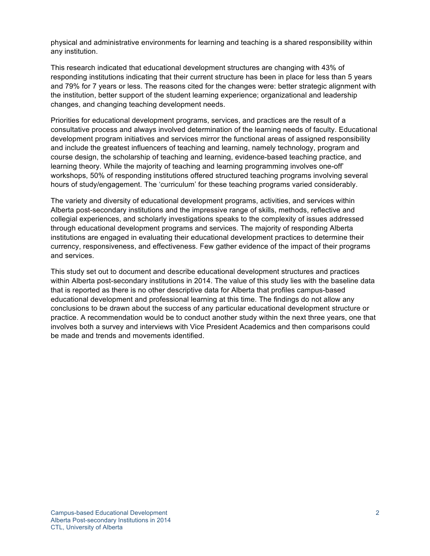physical and administrative environments for learning and teaching is a shared responsibility within any institution.

This research indicated that educational development structures are changing with 43% of responding institutions indicating that their current structure has been in place for less than 5 years and 79% for 7 years or less. The reasons cited for the changes were: better strategic alignment with the institution, better support of the student learning experience; organizational and leadership changes, and changing teaching development needs.

Priorities for educational development programs, services, and practices are the result of a consultative process and always involved determination of the learning needs of faculty. Educational development program initiatives and services mirror the functional areas of assigned responsibility and include the greatest influencers of teaching and learning, namely technology, program and course design, the scholarship of teaching and learning, evidence-based teaching practice, and learning theory. While the majority of teaching and learning programming involves one-off' workshops, 50% of responding institutions offered structured teaching programs involving several hours of study/engagement. The 'curriculum' for these teaching programs varied considerably.

The variety and diversity of educational development programs, activities, and services within Alberta post-secondary institutions and the impressive range of skills, methods, reflective and collegial experiences, and scholarly investigations speaks to the complexity of issues addressed through educational development programs and services. The majority of responding Alberta institutions are engaged in evaluating their educational development practices to determine their currency, responsiveness, and effectiveness. Few gather evidence of the impact of their programs and services.

This study set out to document and describe educational development structures and practices within Alberta post-secondary institutions in 2014. The value of this study lies with the baseline data that is reported as there is no other descriptive data for Alberta that profiles campus-based educational development and professional learning at this time. The findings do not allow any conclusions to be drawn about the success of any particular educational development structure or practice. A recommendation would be to conduct another study within the next three years, one that involves both a survey and interviews with Vice President Academics and then comparisons could be made and trends and movements identified.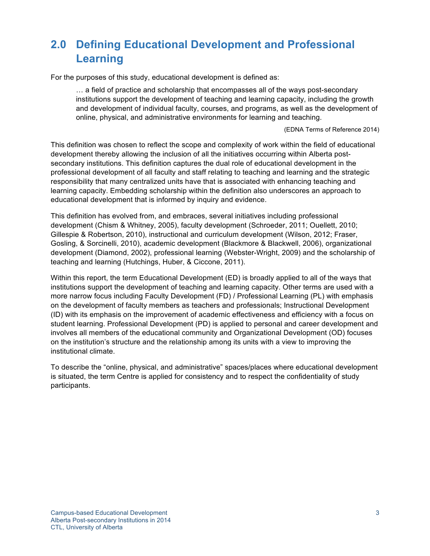## **2.0 Defining Educational Development and Professional Learning**

For the purposes of this study, educational development is defined as:

… a field of practice and scholarship that encompasses all of the ways post-secondary institutions support the development of teaching and learning capacity, including the growth and development of individual faculty, courses, and programs, as well as the development of online, physical, and administrative environments for learning and teaching.

(EDNA Terms of Reference 2014)

This definition was chosen to reflect the scope and complexity of work within the field of educational development thereby allowing the inclusion of all the initiatives occurring within Alberta postsecondary institutions. This definition captures the dual role of educational development in the professional development of all faculty and staff relating to teaching and learning and the strategic responsibility that many centralized units have that is associated with enhancing teaching and learning capacity. Embedding scholarship within the definition also underscores an approach to educational development that is informed by inquiry and evidence.

This definition has evolved from, and embraces, several initiatives including professional development (Chism & Whitney, 2005), faculty development (Schroeder, 2011; Ouellett, 2010; Gillespie & Robertson, 2010), instructional and curriculum development (Wilson, 2012; Fraser, Gosling, & Sorcinelli, 2010), academic development (Blackmore & Blackwell, 2006), organizational development (Diamond, 2002), professional learning (Webster-Wright, 2009) and the scholarship of teaching and learning (Hutchings, Huber, & Ciccone, 2011).

Within this report, the term Educational Development (ED) is broadly applied to all of the ways that institutions support the development of teaching and learning capacity. Other terms are used with a more narrow focus including Faculty Development (FD) / Professional Learning (PL) with emphasis on the development of faculty members as teachers and professionals; Instructional Development (ID) with its emphasis on the improvement of academic effectiveness and efficiency with a focus on student learning. Professional Development (PD) is applied to personal and career development and involves all members of the educational community and Organizational Development (OD) focuses on the institution's structure and the relationship among its units with a view to improving the institutional climate.

To describe the "online, physical, and administrative" spaces/places where educational development is situated, the term Centre is applied for consistency and to respect the confidentiality of study participants.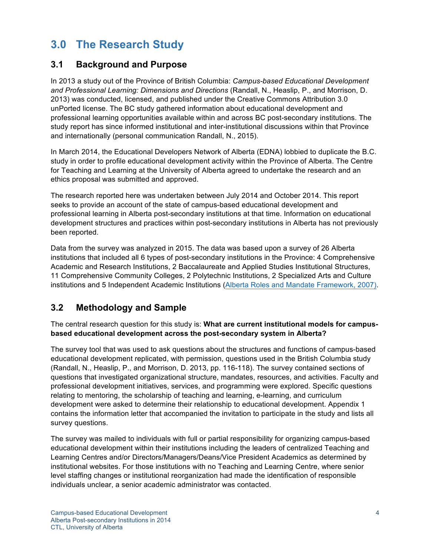## **3.0 The Research Study**

### **3.1 Background and Purpose**

In 2013 a study out of the Province of British Columbia: *Campus-based Educational Development and Professional Learning: Dimensions and Directions* (Randall, N., Heaslip, P., and Morrison, D. 2013) was conducted, licensed, and published under the Creative Commons Attribution 3.0 unPorted license. The BC study gathered information about educational development and professional learning opportunities available within and across BC post-secondary institutions. The study report has since informed institutional and inter-institutional discussions within that Province and internationally (personal communication Randall, N., 2015).

In March 2014, the Educational Developers Network of Alberta (EDNA) lobbied to duplicate the B.C. study in order to profile educational development activity within the Province of Alberta. The Centre for Teaching and Learning at the University of Alberta agreed to undertake the research and an ethics proposal was submitted and approved.

The research reported here was undertaken between July 2014 and October 2014. This report seeks to provide an account of the state of campus-based educational development and professional learning in Alberta post-secondary institutions at that time. Information on educational development structures and practices within post-secondary institutions in Alberta has not previously been reported.

Data from the survey was analyzed in 2015. The data was based upon a survey of 26 Alberta institutions that included all 6 types of post-secondary institutions in the Province: 4 Comprehensive Academic and Research Institutions, 2 Baccalaureate and Applied Studies Institutional Structures, 11 Comprehensive Community Colleges, 2 Polytechnic Institutions, 2 Specialized Arts and Culture institutions and 5 Independent Academic Institutions (Alberta Roles and Mandate Framework, 2007).

### **3.2 Methodology and Sample**

The central research question for this study is: **What are current institutional models for campusbased educational development across the post-secondary system in Alberta?**

The survey tool that was used to ask questions about the structures and functions of campus-based educational development replicated, with permission, questions used in the British Columbia study (Randall, N., Heaslip, P., and Morrison, D. 2013, pp. 116-118). The survey contained sections of questions that investigated organizational structure, mandates, resources, and activities. Faculty and professional development initiatives, services, and programming were explored. Specific questions relating to mentoring, the scholarship of teaching and learning, e-learning, and curriculum development were asked to determine their relationship to educational development. Appendix 1 contains the information letter that accompanied the invitation to participate in the study and lists all survey questions.

The survey was mailed to individuals with full or partial responsibility for organizing campus-based educational development within their institutions including the leaders of centralized Teaching and Learning Centres and/or Directors/Managers/Deans/Vice President Academics as determined by institutional websites. For those institutions with no Teaching and Learning Centre, where senior level staffing changes or institutional reorganization had made the identification of responsible individuals unclear, a senior academic administrator was contacted.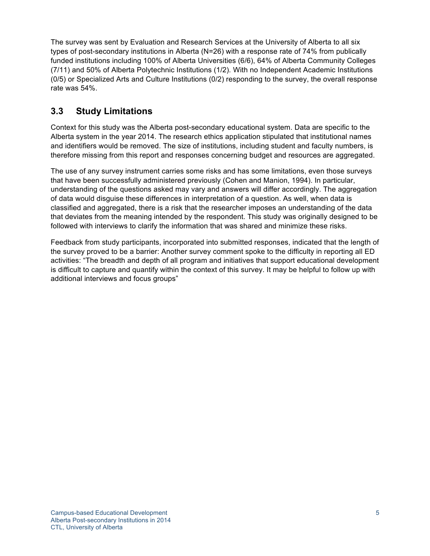The survey was sent by Evaluation and Research Services at the University of Alberta to all six types of post-secondary institutions in Alberta (N=26) with a response rate of 74% from publically funded institutions including 100% of Alberta Universities (6/6), 64% of Alberta Community Colleges (7/11) and 50% of Alberta Polytechnic Institutions (1/2). With no Independent Academic Institutions (0/5) or Specialized Arts and Culture Institutions (0/2) responding to the survey, the overall response rate was 54%.

### **3.3 Study Limitations**

Context for this study was the Alberta post-secondary educational system. Data are specific to the Alberta system in the year 2014. The research ethics application stipulated that institutional names and identifiers would be removed. The size of institutions, including student and faculty numbers, is therefore missing from this report and responses concerning budget and resources are aggregated.

The use of any survey instrument carries some risks and has some limitations, even those surveys that have been successfully administered previously (Cohen and Manion, 1994). In particular, understanding of the questions asked may vary and answers will differ accordingly. The aggregation of data would disguise these differences in interpretation of a question. As well, when data is classified and aggregated, there is a risk that the researcher imposes an understanding of the data that deviates from the meaning intended by the respondent. This study was originally designed to be followed with interviews to clarify the information that was shared and minimize these risks.

Feedback from study participants, incorporated into submitted responses, indicated that the length of the survey proved to be a barrier: Another survey comment spoke to the difficulty in reporting all ED activities: "The breadth and depth of all program and initiatives that support educational development is difficult to capture and quantify within the context of this survey. It may be helpful to follow up with additional interviews and focus groups"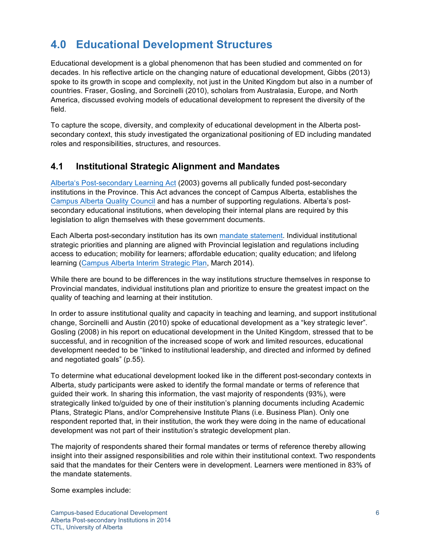## **4.0 Educational Development Structures**

Educational development is a global phenomenon that has been studied and commented on for decades. In his reflective article on the changing nature of educational development, Gibbs (2013) spoke to its growth in scope and complexity, not just in the United Kingdom but also in a number of countries. Fraser, Gosling, and Sorcinelli (2010), scholars from Australasia, Europe, and North America, discussed evolving models of educational development to represent the diversity of the field.

To capture the scope, diversity, and complexity of educational development in the Alberta postsecondary context, this study investigated the organizational positioning of ED including mandated roles and responsibilities, structures, and resources.

### **4.1 Institutional Strategic Alignment and Mandates**

Alberta's Post-secondary Learning Act (2003) governs all publically funded post-secondary institutions in the Province. This Act advances the concept of Campus Alberta, establishes the Campus Alberta Quality Council and has a number of supporting regulations. Alberta's postsecondary educational institutions, when developing their internal plans are required by this legislation to align themselves with these government documents.

Each Alberta post-secondary institution has its own mandate statement. Individual institutional strategic priorities and planning are aligned with Provincial legislation and regulations including access to education; mobility for learners; affordable education; quality education; and lifelong learning (Campus Alberta Interim Strategic Plan, March 2014).

While there are bound to be differences in the way institutions structure themselves in response to Provincial mandates, individual institutions plan and prioritize to ensure the greatest impact on the quality of teaching and learning at their institution.

In order to assure institutional quality and capacity in teaching and learning, and support institutional change, Sorcinelli and Austin (2010) spoke of educational development as a "key strategic lever". Gosling (2008) in his report on educational development in the United Kingdom, stressed that to be successful, and in recognition of the increased scope of work and limited resources, educational development needed to be "linked to institutional leadership, and directed and informed by defined and negotiated goals" (p.55).

To determine what educational development looked like in the different post-secondary contexts in Alberta, study participants were asked to identify the formal mandate or terms of reference that guided their work. In sharing this information, the vast majority of respondents (93%), were strategically linked to/guided by one of their institution's planning documents including Academic Plans, Strategic Plans, and/or Comprehensive Institute Plans (i.e. Business Plan). Only one respondent reported that, in their institution, the work they were doing in the name of educational development was not part of their institution's strategic development plan.

The majority of respondents shared their formal mandates or terms of reference thereby allowing insight into their assigned responsibilities and role within their institutional context. Two respondents said that the mandates for their Centers were in development. Learners were mentioned in 83% of the mandate statements.

Some examples include: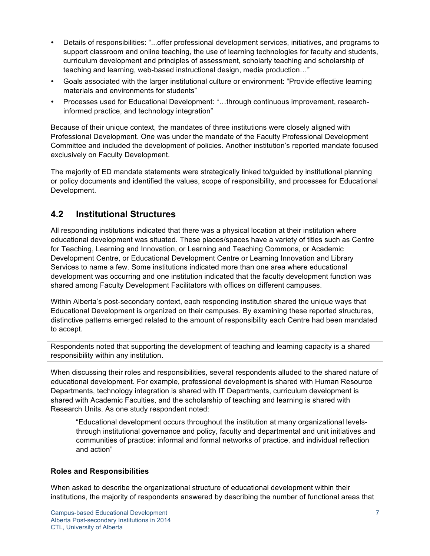- Details of responsibilities: "...offer professional development services, initiatives, and programs to support classroom and online teaching, the use of learning technologies for faculty and students, curriculum development and principles of assessment, scholarly teaching and scholarship of teaching and learning, web-based instructional design, media production…"
- Goals associated with the larger institutional culture or environment: "Provide effective learning materials and environments for students"
- Processes used for Educational Development: "…through continuous improvement, researchinformed practice, and technology integration"

Because of their unique context, the mandates of three institutions were closely aligned with Professional Development. One was under the mandate of the Faculty Professional Development Committee and included the development of policies. Another institution's reported mandate focused exclusively on Faculty Development.

The majority of ED mandate statements were strategically linked to/guided by institutional planning or policy documents and identified the values, scope of responsibility, and processes for Educational Development.

### **4.2 Institutional Structures**

All responding institutions indicated that there was a physical location at their institution where educational development was situated. These places/spaces have a variety of titles such as Centre for Teaching, Learning and Innovation, or Learning and Teaching Commons, or Academic Development Centre, or Educational Development Centre or Learning Innovation and Library Services to name a few. Some institutions indicated more than one area where educational development was occurring and one institution indicated that the faculty development function was shared among Faculty Development Facilitators with offices on different campuses.

Within Alberta's post-secondary context, each responding institution shared the unique ways that Educational Development is organized on their campuses. By examining these reported structures, distinctive patterns emerged related to the amount of responsibility each Centre had been mandated to accept.

Respondents noted that supporting the development of teaching and learning capacity is a shared responsibility within any institution.

When discussing their roles and responsibilities, several respondents alluded to the shared nature of educational development. For example, professional development is shared with Human Resource Departments, technology integration is shared with IT Departments, curriculum development is shared with Academic Faculties, and the scholarship of teaching and learning is shared with Research Units. As one study respondent noted:

"Educational development occurs throughout the institution at many organizational levelsthrough institutional governance and policy, faculty and departmental and unit initiatives and communities of practice: informal and formal networks of practice, and individual reflection and action"

### **Roles and Responsibilities**

When asked to describe the organizational structure of educational development within their institutions, the majority of respondents answered by describing the number of functional areas that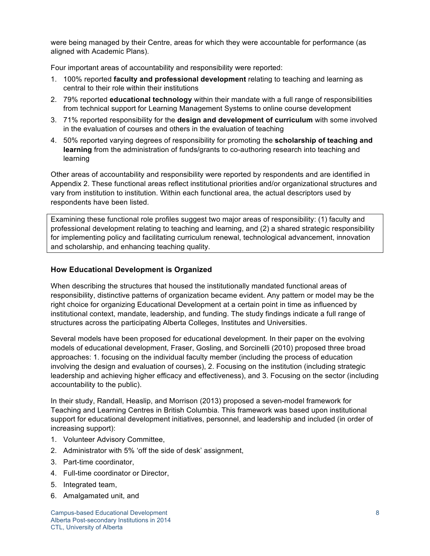were being managed by their Centre, areas for which they were accountable for performance (as aligned with Academic Plans).

Four important areas of accountability and responsibility were reported:

- 1. 100% reported **faculty and professional development** relating to teaching and learning as central to their role within their institutions
- 2. 79% reported **educational technology** within their mandate with a full range of responsibilities from technical support for Learning Management Systems to online course development
- 3. 71% reported responsibility for the **design and development of curriculum** with some involved in the evaluation of courses and others in the evaluation of teaching
- 4. 50% reported varying degrees of responsibility for promoting the **scholarship of teaching and learning** from the administration of funds/grants to co-authoring research into teaching and learning

Other areas of accountability and responsibility were reported by respondents and are identified in Appendix 2. These functional areas reflect institutional priorities and/or organizational structures and vary from institution to institution. Within each functional area, the actual descriptors used by respondents have been listed.

Examining these functional role profiles suggest two major areas of responsibility: (1) faculty and professional development relating to teaching and learning, and (2) a shared strategic responsibility for implementing policy and facilitating curriculum renewal, technological advancement, innovation and scholarship, and enhancing teaching quality.

### **How Educational Development is Organized**

When describing the structures that housed the institutionally mandated functional areas of responsibility, distinctive patterns of organization became evident. Any pattern or model may be the right choice for organizing Educational Development at a certain point in time as influenced by institutional context, mandate, leadership, and funding. The study findings indicate a full range of structures across the participating Alberta Colleges, Institutes and Universities.

Several models have been proposed for educational development. In their paper on the evolving models of educational development, Fraser, Gosling, and Sorcinelli (2010) proposed three broad approaches: 1. focusing on the individual faculty member (including the process of education involving the design and evaluation of courses), 2. Focusing on the institution (including strategic leadership and achieving higher efficacy and effectiveness), and 3. Focusing on the sector (including accountability to the public).

In their study, Randall, Heaslip, and Morrison (2013) proposed a seven-model framework for Teaching and Learning Centres in British Columbia. This framework was based upon institutional support for educational development initiatives, personnel, and leadership and included (in order of increasing support):

- 1. Volunteer Advisory Committee,
- 2. Administrator with 5% 'off the side of desk' assignment,
- 3. Part-time coordinator,
- 4. Full-time coordinator or Director,
- 5. Integrated team,
- 6. Amalgamated unit, and

Campus-based Educational Development 8 Alberta Post-secondary Institutions in 2014 CTL, University of Alberta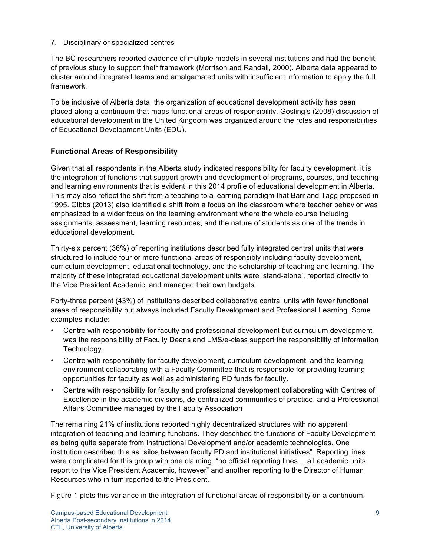#### 7. Disciplinary or specialized centres

The BC researchers reported evidence of multiple models in several institutions and had the benefit of previous study to support their framework (Morrison and Randall, 2000). Alberta data appeared to cluster around integrated teams and amalgamated units with insufficient information to apply the full framework.

To be inclusive of Alberta data, the organization of educational development activity has been placed along a continuum that maps functional areas of responsibility. Gosling's (2008) discussion of educational development in the United Kingdom was organized around the roles and responsibilities of Educational Development Units (EDU).

### **Functional Areas of Responsibility**

Given that all respondents in the Alberta study indicated responsibility for faculty development, it is the integration of functions that support growth and development of programs, courses, and teaching and learning environments that is evident in this 2014 profile of educational development in Alberta. This may also reflect the shift from a teaching to a learning paradigm that Barr and Tagg proposed in 1995. Gibbs (2013) also identified a shift from a focus on the classroom where teacher behavior was emphasized to a wider focus on the learning environment where the whole course including assignments, assessment, learning resources, and the nature of students as one of the trends in educational development.

Thirty-six percent (36%) of reporting institutions described fully integrated central units that were structured to include four or more functional areas of responsibly including faculty development, curriculum development, educational technology, and the scholarship of teaching and learning. The majority of these integrated educational development units were 'stand-alone', reported directly to the Vice President Academic, and managed their own budgets.

Forty-three percent (43%) of institutions described collaborative central units with fewer functional areas of responsibility but always included Faculty Development and Professional Learning. Some examples include:

- Centre with responsibility for faculty and professional development but curriculum development was the responsibility of Faculty Deans and LMS/e-class support the responsibility of Information Technology.
- Centre with responsibility for faculty development, curriculum development, and the learning environment collaborating with a Faculty Committee that is responsible for providing learning opportunities for faculty as well as administering PD funds for faculty.
- Centre with responsibility for faculty and professional development collaborating with Centres of Excellence in the academic divisions, de-centralized communities of practice, and a Professional Affairs Committee managed by the Faculty Association

The remaining 21% of institutions reported highly decentralized structures with no apparent integration of teaching and learning functions. They described the functions of Faculty Development as being quite separate from Instructional Development and/or academic technologies. One institution described this as "silos between faculty PD and institutional initiatives". Reporting lines were complicated for this group with one claiming, "no official reporting lines… all academic units report to the Vice President Academic, however" and another reporting to the Director of Human Resources who in turn reported to the President.

Figure 1 plots this variance in the integration of functional areas of responsibility on a continuum.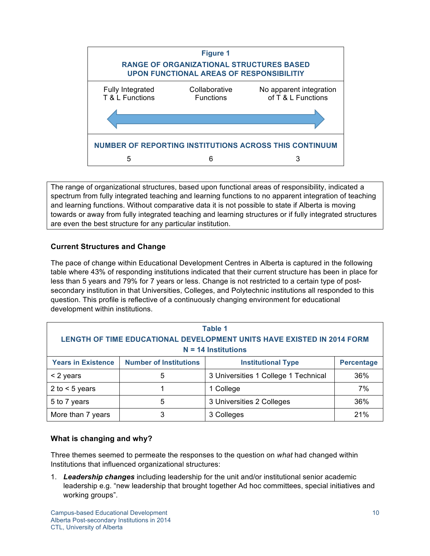

The range of organizational structures, based upon functional areas of responsibility, indicated a spectrum from fully integrated teaching and learning functions to no apparent integration of teaching and learning functions. Without comparative data it is not possible to state if Alberta is moving towards or away from fully integrated teaching and learning structures or if fully integrated structures are even the best structure for any particular institution.

### **Current Structures and Change**

The pace of change within Educational Development Centres in Alberta is captured in the following table where 43% of responding institutions indicated that their current structure has been in place for less than 5 years and 79% for 7 years or less. Change is not restricted to a certain type of postsecondary institution in that Universities, Colleges, and Polytechnic institutions all responded to this question. This profile is reflective of a continuously changing environment for educational development within institutions.

| Table 1<br>LENGTH OF TIME EDUCATIONAL DEVELOPMENT UNITS HAVE EXISTED IN 2014 FORM<br>$N = 14$ Institutions |                               |                                      |                   |
|------------------------------------------------------------------------------------------------------------|-------------------------------|--------------------------------------|-------------------|
| <b>Years in Existence</b>                                                                                  | <b>Number of Institutions</b> | <b>Institutional Type</b>            | <b>Percentage</b> |
| $<$ 2 years                                                                                                | 5                             | 3 Universities 1 College 1 Technical | 36%               |
| 2 to $<$ 5 years                                                                                           |                               | 1 College                            | 7%                |
| 5 to 7 years                                                                                               | 5                             | 3 Universities 2 Colleges            | 36%               |
| More than 7 years                                                                                          | 3                             | 3 Colleges                           | 21%               |

### **What is changing and why?**

Three themes seemed to permeate the responses to the question on *what* had changed within Institutions that influenced organizational structures:

1. *Leadership changes* including leadership for the unit and/or institutional senior academic leadership e.g. "new leadership that brought together Ad hoc committees, special initiatives and working groups".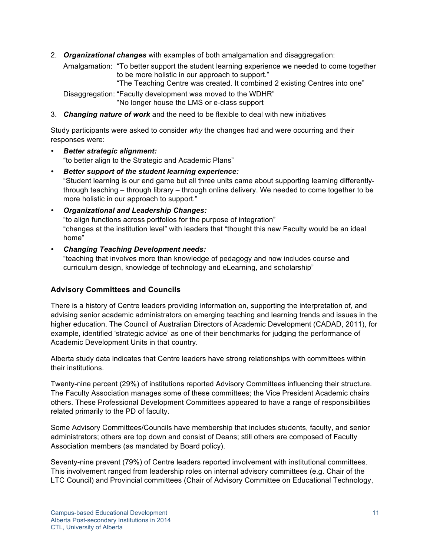2. *Organizational changes* with examples of both amalgamation and disaggregation:

Amalgamation: "To better support the student learning experience we needed to come together to be more holistic in our approach to support."

"The Teaching Centre was created. It combined 2 existing Centres into one"

Disaggregation: "Faculty development was moved to the WDHR" "No longer house the LMS or e-class support

3. *Changing nature of work* and the need to be flexible to deal with new initiatives

Study participants were asked to consider *why* the changes had and were occurring and their responses were:

- *Better strategic alignment:*  "to better align to the Strategic and Academic Plans"
- *Better support of the student learning experience:*  "Student learning is our end game but all three units came about supporting learning differentlythrough teaching – through library – through online delivery. We needed to come together to be more holistic in our approach to support."
- *Organizational and Leadership Changes:*  "to align functions across portfolios for the purpose of integration" "changes at the institution level" with leaders that "thought this new Faculty would be an ideal home"
- *Changing Teaching Development needs:*

"teaching that involves more than knowledge of pedagogy and now includes course and curriculum design, knowledge of technology and eLearning, and scholarship"

### **Advisory Committees and Councils**

There is a history of Centre leaders providing information on, supporting the interpretation of, and advising senior academic administrators on emerging teaching and learning trends and issues in the higher education. The Council of Australian Directors of Academic Development (CADAD, 2011), for example, identified 'strategic advice' as one of their benchmarks for judging the performance of Academic Development Units in that country.

Alberta study data indicates that Centre leaders have strong relationships with committees within their institutions.

Twenty-nine percent (29%) of institutions reported Advisory Committees influencing their structure. The Faculty Association manages some of these committees; the Vice President Academic chairs others. These Professional Development Committees appeared to have a range of responsibilities related primarily to the PD of faculty.

Some Advisory Committees/Councils have membership that includes students, faculty, and senior administrators; others are top down and consist of Deans; still others are composed of Faculty Association members (as mandated by Board policy).

Seventy-nine prevent (79%) of Centre leaders reported involvement with institutional committees. This involvement ranged from leadership roles on internal advisory committees (e.g. Chair of the LTC Council) and Provincial committees (Chair of Advisory Committee on Educational Technology,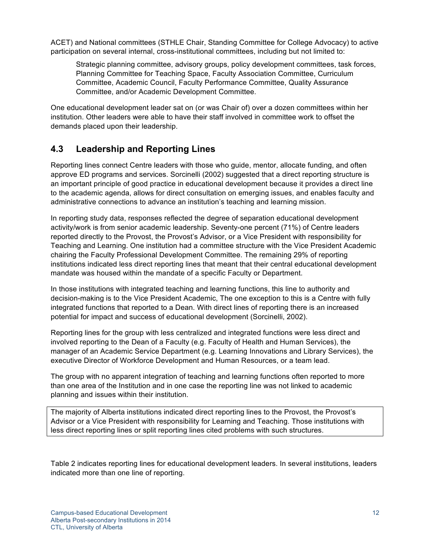ACET) and National committees (STHLE Chair, Standing Committee for College Advocacy) to active participation on several internal, cross-institutional committees, including but not limited to:

Strategic planning committee, advisory groups, policy development committees, task forces, Planning Committee for Teaching Space, Faculty Association Committee, Curriculum Committee, Academic Council, Faculty Performance Committee, Quality Assurance Committee, and/or Academic Development Committee.

One educational development leader sat on (or was Chair of) over a dozen committees within her institution. Other leaders were able to have their staff involved in committee work to offset the demands placed upon their leadership.

### **4.3 Leadership and Reporting Lines**

Reporting lines connect Centre leaders with those who guide, mentor, allocate funding, and often approve ED programs and services. Sorcinelli (2002) suggested that a direct reporting structure is an important principle of good practice in educational development because it provides a direct line to the academic agenda, allows for direct consultation on emerging issues, and enables faculty and administrative connections to advance an institution's teaching and learning mission.

In reporting study data, responses reflected the degree of separation educational development activity/work is from senior academic leadership. Seventy-one percent (71%) of Centre leaders reported directly to the Provost, the Provost's Advisor, or a Vice President with responsibility for Teaching and Learning. One institution had a committee structure with the Vice President Academic chairing the Faculty Professional Development Committee. The remaining 29% of reporting institutions indicated less direct reporting lines that meant that their central educational development mandate was housed within the mandate of a specific Faculty or Department.

In those institutions with integrated teaching and learning functions, this line to authority and decision-making is to the Vice President Academic, The one exception to this is a Centre with fully integrated functions that reported to a Dean. With direct lines of reporting there is an increased potential for impact and success of educational development (Sorcinelli, 2002).

Reporting lines for the group with less centralized and integrated functions were less direct and involved reporting to the Dean of a Faculty (e.g. Faculty of Health and Human Services), the manager of an Academic Service Department (e.g. Learning Innovations and Library Services), the executive Director of Workforce Development and Human Resources, or a team lead.

The group with no apparent integration of teaching and learning functions often reported to more than one area of the Institution and in one case the reporting line was not linked to academic planning and issues within their institution.

The majority of Alberta institutions indicated direct reporting lines to the Provost, the Provost's Advisor or a Vice President with responsibility for Learning and Teaching. Those institutions with less direct reporting lines or split reporting lines cited problems with such structures.

Table 2 indicates reporting lines for educational development leaders. In several institutions, leaders indicated more than one line of reporting.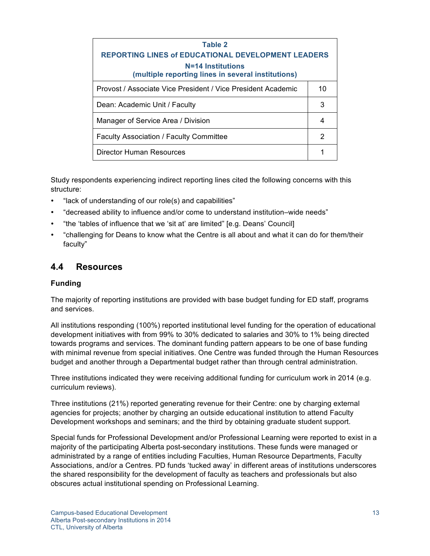| Table 2                                                                 |    |  |
|-------------------------------------------------------------------------|----|--|
| <b>REPORTING LINES of EDUCATIONAL DEVELOPMENT LEADERS</b>               |    |  |
| N=14 Institutions<br>(multiple reporting lines in several institutions) |    |  |
| Provost / Associate Vice President / Vice President Academic            | 10 |  |
| Dean: Academic Unit / Faculty                                           |    |  |
| Manager of Service Area / Division                                      | 4  |  |
| <b>Faculty Association / Faculty Committee</b>                          | 2  |  |
| <b>Director Human Resources</b>                                         |    |  |

Study respondents experiencing indirect reporting lines cited the following concerns with this structure:

- "lack of understanding of our role(s) and capabilities"
- "decreased ability to influence and/or come to understand institution–wide needs"
- "the 'tables of influence that we 'sit at' are limited" [e.g. Deans' Council]
- "challenging for Deans to know what the Centre is all about and what it can do for them/their faculty"

### **4.4 Resources**

### **Funding**

The majority of reporting institutions are provided with base budget funding for ED staff, programs and services.

All institutions responding (100%) reported institutional level funding for the operation of educational development initiatives with from 99% to 30% dedicated to salaries and 30% to 1% being directed towards programs and services. The dominant funding pattern appears to be one of base funding with minimal revenue from special initiatives. One Centre was funded through the Human Resources budget and another through a Departmental budget rather than through central administration.

Three institutions indicated they were receiving additional funding for curriculum work in 2014 (e.g. curriculum reviews).

Three institutions (21%) reported generating revenue for their Centre: one by charging external agencies for projects; another by charging an outside educational institution to attend Faculty Development workshops and seminars; and the third by obtaining graduate student support.

Special funds for Professional Development and/or Professional Learning were reported to exist in a majority of the participating Alberta post-secondary institutions. These funds were managed or administrated by a range of entities including Faculties, Human Resource Departments, Faculty Associations, and/or a Centres. PD funds 'tucked away' in different areas of institutions underscores the shared responsibility for the development of faculty as teachers and professionals but also obscures actual institutional spending on Professional Learning.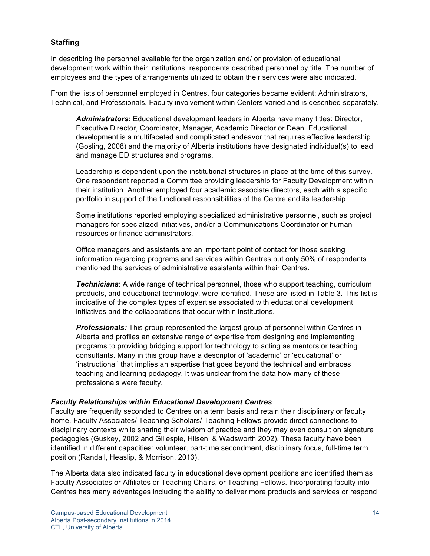### **Staffing**

In describing the personnel available for the organization and/ or provision of educational development work within their Institutions, respondents described personnel by title. The number of employees and the types of arrangements utilized to obtain their services were also indicated.

From the lists of personnel employed in Centres, four categories became evident: Administrators, Technical, and Professionals. Faculty involvement within Centers varied and is described separately.

*Administrators***:** Educational development leaders in Alberta have many titles: Director, Executive Director, Coordinator, Manager, Academic Director or Dean. Educational development is a multifaceted and complicated endeavor that requires effective leadership (Gosling, 2008) and the majority of Alberta institutions have designated individual(s) to lead and manage ED structures and programs.

Leadership is dependent upon the institutional structures in place at the time of this survey. One respondent reported a Committee providing leadership for Faculty Development within their institution. Another employed four academic associate directors, each with a specific portfolio in support of the functional responsibilities of the Centre and its leadership.

Some institutions reported employing specialized administrative personnel, such as project managers for specialized initiatives, and/or a Communications Coordinator or human resources or finance administrators.

Office managers and assistants are an important point of contact for those seeking information regarding programs and services within Centres but only 50% of respondents mentioned the services of administrative assistants within their Centres.

*Technicians*: A wide range of technical personnel, those who support teaching, curriculum products, and educational technology, were identified. These are listed in Table 3. This list is indicative of the complex types of expertise associated with educational development initiatives and the collaborations that occur within institutions.

*Professionals:* This group represented the largest group of personnel within Centres in Alberta and profiles an extensive range of expertise from designing and implementing programs to providing bridging support for technology to acting as mentors or teaching consultants. Many in this group have a descriptor of 'academic' or 'educational' or 'instructional' that implies an expertise that goes beyond the technical and embraces teaching and learning pedagogy. It was unclear from the data how many of these professionals were faculty.

#### *Faculty Relationships within Educational Development Centres*

Faculty are frequently seconded to Centres on a term basis and retain their disciplinary or faculty home. Faculty Associates/ Teaching Scholars/ Teaching Fellows provide direct connections to disciplinary contexts while sharing their wisdom of practice and they may even consult on signature pedagogies (Guskey, 2002 and Gillespie, Hilsen, & Wadsworth 2002). These faculty have been identified in different capacities: volunteer, part-time secondment, disciplinary focus, full-time term position (Randall, Heaslip, & Morrison, 2013).

The Alberta data also indicated faculty in educational development positions and identified them as Faculty Associates or Affiliates or Teaching Chairs, or Teaching Fellows. Incorporating faculty into Centres has many advantages including the ability to deliver more products and services or respond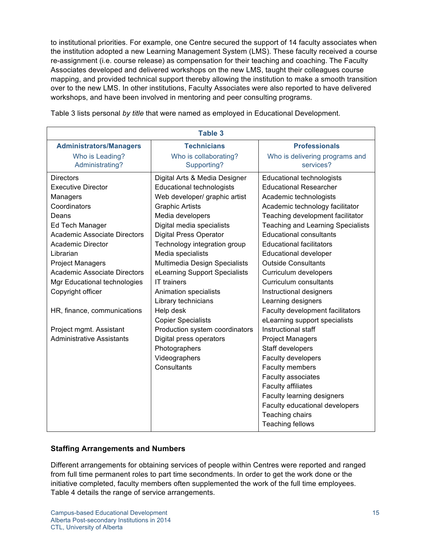to institutional priorities. For example, one Centre secured the support of 14 faculty associates when the institution adopted a new Learning Management System (LMS). These faculty received a course re-assignment (i.e. course release) as compensation for their teaching and coaching. The Faculty Associates developed and delivered workshops on the new LMS, taught their colleagues course mapping, and provided technical support thereby allowing the institution to make a smooth transition over to the new LMS. In other institutions, Faculty Associates were also reported to have delivered workshops, and have been involved in mentoring and peer consulting programs.

| <b>Table 3</b>                      |                                  |                                          |  |  |
|-------------------------------------|----------------------------------|------------------------------------------|--|--|
| <b>Administrators/Managers</b>      | <b>Technicians</b>               | <b>Professionals</b>                     |  |  |
| Who is Leading?                     | Who is collaborating?            | Who is delivering programs and           |  |  |
| Administrating?                     | Supporting?                      | services?                                |  |  |
| <b>Directors</b>                    | Digital Arts & Media Designer    | <b>Educational technologists</b>         |  |  |
| <b>Executive Director</b>           | <b>Educational technologists</b> | <b>Educational Researcher</b>            |  |  |
| Managers                            | Web developer/ graphic artist    | Academic technologists                   |  |  |
| Coordinators                        | <b>Graphic Artists</b>           | Academic technology facilitator          |  |  |
| Deans                               | Media developers                 | Teaching development facilitator         |  |  |
| Ed Tech Manager                     | Digital media specialists        | <b>Teaching and Learning Specialists</b> |  |  |
| <b>Academic Associate Directors</b> | <b>Digital Press Operator</b>    | <b>Educational consultants</b>           |  |  |
| <b>Academic Director</b>            | Technology integration group     | <b>Educational facilitators</b>          |  |  |
| Librarian                           | Media specialists                | Educational developer                    |  |  |
| <b>Project Managers</b>             | Multimedia Design Specialists    | <b>Outside Consultants</b>               |  |  |
| <b>Academic Associate Directors</b> | eLearning Support Specialists    | Curriculum developers                    |  |  |
| Mgr Educational technologies        | <b>IT</b> trainers               | Curriculum consultants                   |  |  |
| Copyright officer                   | Animation specialists            | Instructional designers                  |  |  |
|                                     | Library technicians              | Learning designers                       |  |  |
| HR, finance, communications         | Help desk                        | Faculty development facilitators         |  |  |
|                                     | <b>Copier Specialists</b>        | eLearning support specialists            |  |  |
| Project mgmt. Assistant             | Production system coordinators   | Instructional staff                      |  |  |
| <b>Administrative Assistants</b>    | Digital press operators          | <b>Project Managers</b>                  |  |  |
|                                     | Photographers                    | Staff developers                         |  |  |
|                                     | Videographers                    | Faculty developers                       |  |  |
|                                     | Consultants                      | Faculty members                          |  |  |
|                                     |                                  | Faculty associates                       |  |  |
|                                     |                                  | <b>Faculty affiliates</b>                |  |  |
|                                     |                                  | Faculty learning designers               |  |  |
|                                     |                                  | Faculty educational developers           |  |  |
|                                     |                                  | Teaching chairs                          |  |  |
|                                     |                                  | Teaching fellows                         |  |  |

Table 3 lists personal *by title* that were named as employed in Educational Development.

### **Staffing Arrangements and Numbers**

Different arrangements for obtaining services of people within Centres were reported and ranged from full time permanent roles to part time secondments. In order to get the work done or the initiative completed, faculty members often supplemented the work of the full time employees. Table 4 details the range of service arrangements.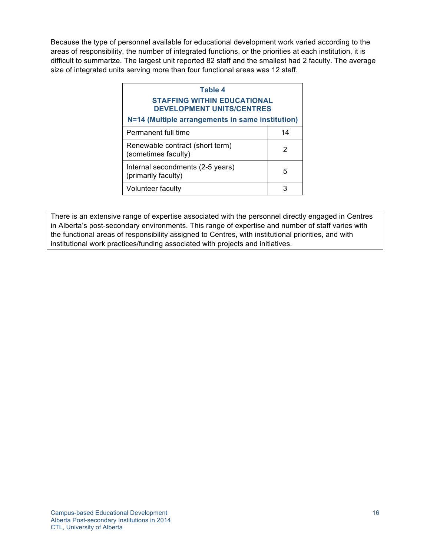Because the type of personnel available for educational development work varied according to the areas of responsibility, the number of integrated functions, or the priorities at each institution, it is difficult to summarize. The largest unit reported 82 staff and the smallest had 2 faculty. The average size of integrated units serving more than four functional areas was 12 staff.

| Table 4                                                                |    |  |
|------------------------------------------------------------------------|----|--|
| <b>STAFFING WITHIN EDUCATIONAL</b><br><b>DEVELOPMENT UNITS/CENTRES</b> |    |  |
| N=14 (Multiple arrangements in same institution)                       |    |  |
| Permanent full time                                                    | 14 |  |
| Renewable contract (short term)<br>(sometimes faculty)                 | 2  |  |
| Internal secondments (2-5 years)<br>(primarily faculty)                | 5  |  |
| <b>Volunteer faculty</b>                                               | З  |  |

There is an extensive range of expertise associated with the personnel directly engaged in Centres in Alberta's post-secondary environments. This range of expertise and number of staff varies with the functional areas of responsibility assigned to Centres, with institutional priorities, and with institutional work practices/funding associated with projects and initiatives.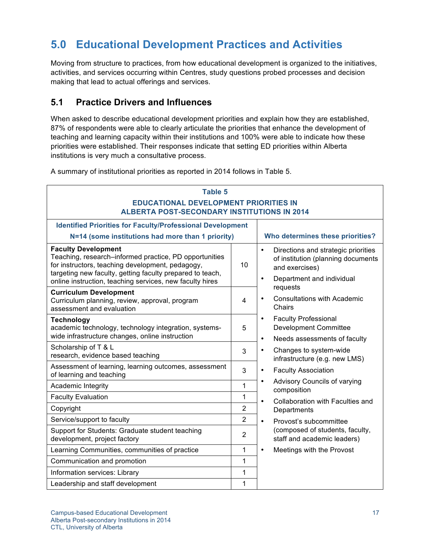## **5.0 Educational Development Practices and Activities**

Moving from structure to practices, from how educational development is organized to the initiatives, activities, and services occurring within Centres, study questions probed processes and decision making that lead to actual offerings and services.

### **5.1 Practice Drivers and Influences**

When asked to describe educational development priorities and explain how they are established, 87% of respondents were able to clearly articulate the priorities that enhance the development of teaching and learning capacity within their institutions and 100% were able to indicate how these priorities were established. Their responses indicate that setting ED priorities within Alberta institutions is very much a consultative process.

A summary of institutional priorities as reported in 2014 follows in Table 5.

| <b>Table 5</b><br><b>EDUCATIONAL DEVELOPMENT PRIORITIES IN</b><br><b>ALBERTA POST-SECONDARY INSTITUTIONS IN 2014</b>                                                                                  |                 |                                                                                                                                                    |  |
|-------------------------------------------------------------------------------------------------------------------------------------------------------------------------------------------------------|-----------------|----------------------------------------------------------------------------------------------------------------------------------------------------|--|
| <b>Identified Priorities for Faculty/Professional Development</b>                                                                                                                                     |                 |                                                                                                                                                    |  |
| N=14 (some institutions had more than 1 priority)                                                                                                                                                     |                 | Who determines these priorities?                                                                                                                   |  |
| <b>Faculty Development</b><br>Teaching, research-informed practice, PD opportunities<br>for instructors, teaching development, pedagogy,<br>targeting new faculty, getting faculty prepared to teach, | 10 <sup>1</sup> | Directions and strategic priorities<br>$\bullet$<br>of institution (planning documents<br>and exercises)<br>Department and individual<br>$\bullet$ |  |
| online instruction, teaching services, new faculty hires                                                                                                                                              |                 | requests                                                                                                                                           |  |
| <b>Curriculum Development</b><br>Curriculum planning, review, approval, program<br>assessment and evaluation                                                                                          | 4               | Consultations with Academic<br>Chairs                                                                                                              |  |
| Technology<br>academic technology, technology integration, systems-<br>wide infrastructure changes, online instruction                                                                                | 5               | <b>Faculty Professional</b><br>$\bullet$<br><b>Development Committee</b>                                                                           |  |
| Scholarship of T & L                                                                                                                                                                                  |                 | Needs assessments of faculty<br>$\bullet$                                                                                                          |  |
| research, evidence based teaching                                                                                                                                                                     | 3               | Changes to system-wide<br>$\bullet$<br>infrastructure (e.g. new LMS)                                                                               |  |
| Assessment of learning, learning outcomes, assessment<br>of learning and teaching                                                                                                                     | 3               | <b>Faculty Association</b><br>$\bullet$                                                                                                            |  |
| Academic Integrity                                                                                                                                                                                    | 1               | Advisory Councils of varying<br>$\bullet$<br>composition                                                                                           |  |
| <b>Faculty Evaluation</b>                                                                                                                                                                             | 1               | Collaboration with Faculties and<br>$\bullet$                                                                                                      |  |
| Copyright                                                                                                                                                                                             | $\overline{2}$  | Departments                                                                                                                                        |  |
| Service/support to faculty                                                                                                                                                                            | $\overline{2}$  | $\bullet$<br>Provost's subcommittee                                                                                                                |  |
| Support for Students: Graduate student teaching<br>development, project factory                                                                                                                       | $\overline{2}$  | (composed of students, faculty,<br>staff and academic leaders)                                                                                     |  |
| Learning Communities, communities of practice                                                                                                                                                         | 1               | Meetings with the Provost<br>$\bullet$                                                                                                             |  |
| Communication and promotion                                                                                                                                                                           | 1               |                                                                                                                                                    |  |
| Information services: Library<br>1                                                                                                                                                                    |                 |                                                                                                                                                    |  |
| Leadership and staff development                                                                                                                                                                      | 1               |                                                                                                                                                    |  |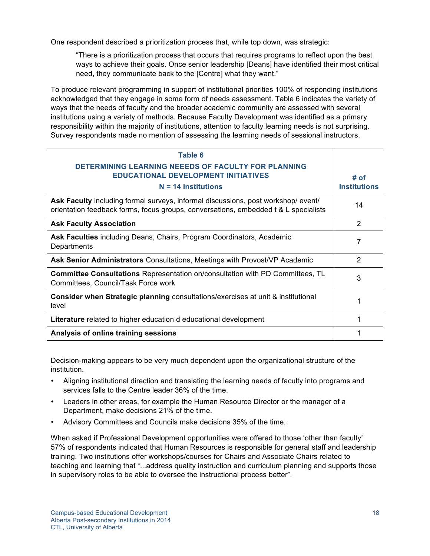One respondent described a prioritization process that, while top down, was strategic:

"There is a prioritization process that occurs that requires programs to reflect upon the best ways to achieve their goals. Once senior leadership [Deans] have identified their most critical need, they communicate back to the [Centre] what they want."

To produce relevant programming in support of institutional priorities 100% of responding institutions acknowledged that they engage in some form of needs assessment. Table 6 indicates the variety of ways that the needs of faculty and the broader academic community are assessed with several institutions using a variety of methods. Because Faculty Development was identified as a primary responsibility within the majority of institutions, attention to faculty learning needs is not surprising. Survey respondents made no mention of assessing the learning needs of sessional instructors.

| Table 6<br>DETERMINING LEARNING NEEEDS OF FACULTY FOR PLANNING<br><b>EDUCATIONAL DEVELOPMENT INITIATIVES</b><br>$N = 14$ Institutions                                   | # of<br><b>Institutions</b> |
|-------------------------------------------------------------------------------------------------------------------------------------------------------------------------|-----------------------------|
| Ask Faculty including formal surveys, informal discussions, post workshop/event/<br>orientation feedback forms, focus groups, conversations, embedded t & L specialists | 14                          |
| <b>Ask Faculty Association</b>                                                                                                                                          | $\overline{2}$              |
| Ask Faculties including Deans, Chairs, Program Coordinators, Academic<br>Departments                                                                                    | 7                           |
| Ask Senior Administrators Consultations, Meetings with Provost/VP Academic                                                                                              | $\mathcal{P}$               |
| <b>Committee Consultations</b> Representation on/consultation with PD Committees, TL<br>Committees, Council/Task Force work                                             | 3                           |
| Consider when Strategic planning consultations/exercises at unit & institutional<br>level                                                                               |                             |
| <b>Literature</b> related to higher education d educational development                                                                                                 |                             |
| Analysis of online training sessions                                                                                                                                    |                             |

Decision-making appears to be very much dependent upon the organizational structure of the institution.

- Aligning institutional direction and translating the learning needs of faculty into programs and services falls to the Centre leader 36% of the time.
- Leaders in other areas, for example the Human Resource Director or the manager of a Department, make decisions 21% of the time.
- Advisory Committees and Councils make decisions 35% of the time.

When asked if Professional Development opportunities were offered to those 'other than faculty' 57% of respondents indicated that Human Resources is responsible for general staff and leadership training. Two institutions offer workshops/courses for Chairs and Associate Chairs related to teaching and learning that "...address quality instruction and curriculum planning and supports those in supervisory roles to be able to oversee the instructional process better".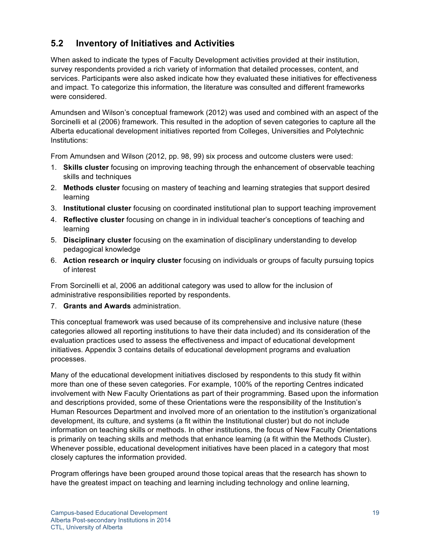### **5.2 Inventory of Initiatives and Activities**

When asked to indicate the types of Faculty Development activities provided at their institution, survey respondents provided a rich variety of information that detailed processes, content, and services. Participants were also asked indicate how they evaluated these initiatives for effectiveness and impact. To categorize this information, the literature was consulted and different frameworks were considered.

Amundsen and Wilson's conceptual framework (2012) was used and combined with an aspect of the Sorcinelli et al (2006) framework. This resulted in the adoption of seven categories to capture all the Alberta educational development initiatives reported from Colleges, Universities and Polytechnic Institutions:

From Amundsen and Wilson (2012, pp. 98, 99) six process and outcome clusters were used:

- 1. **Skills cluster** focusing on improving teaching through the enhancement of observable teaching skills and techniques
- 2. **Methods cluster** focusing on mastery of teaching and learning strategies that support desired learning
- 3. **Institutional cluster** focusing on coordinated institutional plan to support teaching improvement
- 4. **Reflective cluster** focusing on change in in individual teacher's conceptions of teaching and learning
- 5. **Disciplinary cluster** focusing on the examination of disciplinary understanding to develop pedagogical knowledge
- 6. **Action research or inquiry cluster** focusing on individuals or groups of faculty pursuing topics of interest

From Sorcinelli et al, 2006 an additional category was used to allow for the inclusion of administrative responsibilities reported by respondents.

7. **Grants and Awards** administration.

This conceptual framework was used because of its comprehensive and inclusive nature (these categories allowed all reporting institutions to have their data included) and its consideration of the evaluation practices used to assess the effectiveness and impact of educational development initiatives. Appendix 3 contains details of educational development programs and evaluation processes.

Many of the educational development initiatives disclosed by respondents to this study fit within more than one of these seven categories. For example, 100% of the reporting Centres indicated involvement with New Faculty Orientations as part of their programming. Based upon the information and descriptions provided, some of these Orientations were the responsibility of the Institution's Human Resources Department and involved more of an orientation to the institution's organizational development, its culture, and systems (a fit within the Institutional cluster) but do not include information on teaching skills or methods. In other institutions, the focus of New Faculty Orientations is primarily on teaching skills and methods that enhance learning (a fit within the Methods Cluster). Whenever possible, educational development initiatives have been placed in a category that most closely captures the information provided.

Program offerings have been grouped around those topical areas that the research has shown to have the greatest impact on teaching and learning including technology and online learning,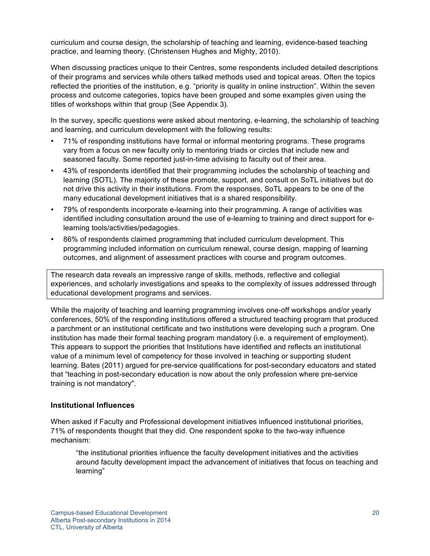curriculum and course design, the scholarship of teaching and learning, evidence-based teaching practice, and learning theory. (Christensen Hughes and Mighty, 2010).

When discussing practices unique to their Centres, some respondents included detailed descriptions of their programs and services while others talked methods used and topical areas. Often the topics reflected the priorities of the institution, e.g. "priority is quality in online instruction". Within the seven process and outcome categories, topics have been grouped and some examples given using the titles of workshops within that group (See Appendix 3).

In the survey, specific questions were asked about mentoring, e-learning, the scholarship of teaching and learning, and curriculum development with the following results:

- 71% of responding institutions have formal or informal mentoring programs. These programs vary from a focus on new faculty only to mentoring triads or circles that include new and seasoned faculty. Some reported just-in-time advising to faculty out of their area.
- 43% of respondents identified that their programming includes the scholarship of teaching and learning (SOTL). The majority of these promote, support, and consult on SoTL initiatives but do not drive this activity in their institutions. From the responses, SoTL appears to be one of the many educational development initiatives that is a shared responsibility.
- 79% of respondents incorporate e-learning into their programming. A range of activities was identified including consultation around the use of e-learning to training and direct support for elearning tools/activities/pedagogies.
- 86% of respondents claimed programming that included curriculum development. This programming included information on curriculum renewal, course design, mapping of learning outcomes, and alignment of assessment practices with course and program outcomes.

The research data reveals an impressive range of skills, methods, reflective and collegial experiences, and scholarly investigations and speaks to the complexity of issues addressed through educational development programs and services.

While the majority of teaching and learning programming involves one-off workshops and/or yearly conferences, 50% of the responding institutions offered a structured teaching program that produced a parchment or an institutional certificate and two institutions were developing such a program. One institution has made their formal teaching program mandatory (i.e. a requirement of employment). This appears to support the priorities that Institutions have identified and reflects an institutional value of a minimum level of competency for those involved in teaching or supporting student learning. Bates (2011) argued for pre-service qualifications for post-secondary educators and stated that "teaching in post-secondary education is now about the only profession where pre-service training is not mandatory".

### **Institutional Influences**

When asked if Faculty and Professional development initiatives influenced institutional priorities, 71% of respondents thought that they did. One respondent spoke to the two-way influence mechanism:

"the institutional priorities influence the faculty development initiatives and the activities around faculty development impact the advancement of initiatives that focus on teaching and learning"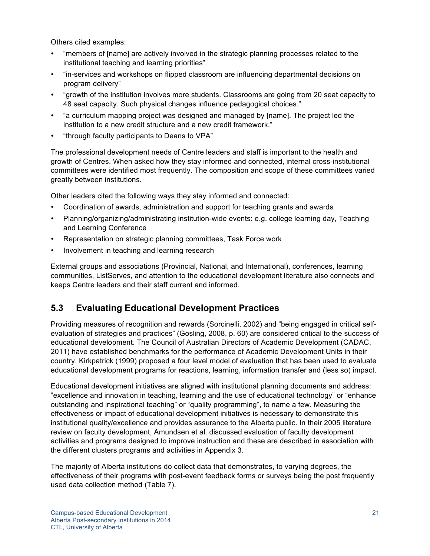Others cited examples:

- "members of [name] are actively involved in the strategic planning processes related to the institutional teaching and learning priorities"
- "in-services and workshops on flipped classroom are influencing departmental decisions on program delivery"
- "growth of the institution involves more students. Classrooms are going from 20 seat capacity to 48 seat capacity. Such physical changes influence pedagogical choices."
- "a curriculum mapping project was designed and managed by [name]. The project led the institution to a new credit structure and a new credit framework."
- "through faculty participants to Deans to VPA"

The professional development needs of Centre leaders and staff is important to the health and growth of Centres. When asked how they stay informed and connected, internal cross-institutional committees were identified most frequently. The composition and scope of these committees varied greatly between institutions.

Other leaders cited the following ways they stay informed and connected:

- Coordination of awards, administration and support for teaching grants and awards
- Planning/organizing/administrating institution-wide events: e.g. college learning day, Teaching and Learning Conference
- Representation on strategic planning committees, Task Force work
- Involvement in teaching and learning research

External groups and associations (Provincial, National, and International), conferences, learning communities, ListServes, and attention to the educational development literature also connects and keeps Centre leaders and their staff current and informed.

### **5.3 Evaluating Educational Development Practices**

Providing measures of recognition and rewards (Sorcinelli, 2002) and "being engaged in critical selfevaluation of strategies and practices" (Gosling, 2008, p. 60) are considered critical to the success of educational development. The Council of Australian Directors of Academic Development (CADAC, 2011) have established benchmarks for the performance of Academic Development Units in their country. Kirkpatrick (1999) proposed a four level model of evaluation that has been used to evaluate educational development programs for reactions, learning, information transfer and (less so) impact.

Educational development initiatives are aligned with institutional planning documents and address: "excellence and innovation in teaching, learning and the use of educational technology" or "enhance outstanding and inspirational teaching" or "quality programming", to name a few. Measuring the effectiveness or impact of educational development initiatives is necessary to demonstrate this institutional quality/excellence and provides assurance to the Alberta public. In their 2005 literature review on faculty development, Amundsen et al. discussed evaluation of faculty development activities and programs designed to improve instruction and these are described in association with the different clusters programs and activities in Appendix 3.

The majority of Alberta institutions do collect data that demonstrates, to varying degrees, the effectiveness of their programs with post-event feedback forms or surveys being the post frequently used data collection method (Table 7).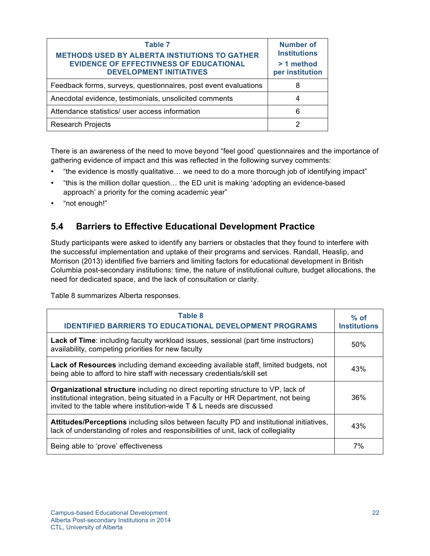| Table 7<br><b>METHODS USED BY ALBERTA INSTIUTIONS TO GATHER</b><br><b>EVIDENCE OF EFFECTIVNESS OF EDUCATIONAL</b><br><b>DEVELOPMENT INITIATIVES</b> | Number of<br><b>Institutions</b><br>> 1 method<br>per institution |
|-----------------------------------------------------------------------------------------------------------------------------------------------------|-------------------------------------------------------------------|
| Feedback forms, surveys, questionnaires, post event evaluations                                                                                     | 8                                                                 |
| Anecdotal evidence, testimonials, unsolicited comments                                                                                              | 4                                                                 |
| Attendance statistics/ user access information                                                                                                      | 6                                                                 |
| <b>Research Projects</b>                                                                                                                            |                                                                   |

There is an awareness of the need to move beyond "feel good' questionnaires and the importance of gathering evidence of impact and this was reflected in the following survey comments:

- "the evidence is mostly qualitative… we need to do a more thorough job of identifying impact"
- "this is the million dollar question… the ED unit is making 'adopting an evidence-based approach' a priority for the coming academic year"
- "not enough!"

### **5.4 Barriers to Effective Educational Development Practice**

Study participants were asked to identify any barriers or obstacles that they found to interfere with the successful implementation and uptake of their programs and services. Randall, Heaslip, and Morrison (2013) identified five barriers and limiting factors for educational development in British Columbia post-secondary institutions: time, the nature of institutional culture, budget allocations, the need for dedicated space, and the lack of consultation or clarity.

Table 8 summarizes Alberta responses.

| <b>Table 8</b><br><b>IDENTIFIED BARRIERS TO EDUCATIONAL DEVELOPMENT PROGRAMS</b>                                                                                                                                                                      | $%$ of<br><b>Institutions</b> |
|-------------------------------------------------------------------------------------------------------------------------------------------------------------------------------------------------------------------------------------------------------|-------------------------------|
| Lack of Time: including faculty workload issues, sessional (part time instructors)<br>availability, competing priorities for new faculty                                                                                                              | 50%                           |
| <b>Lack of Resources</b> including demand exceeding available staff, limited budgets, not<br>being able to afford to hire staff with necessary credentials/skill set                                                                                  | 43%                           |
| <b>Organizational structure</b> including no direct reporting structure to VP, lack of<br>institutional integration, being situated in a Faculty or HR Department, not being<br>invited to the table where institution-wide T & L needs are discussed | 36%                           |
| Attitudes/Perceptions including silos between faculty PD and institutional initiatives,<br>lack of understanding of roles and responsibilities of unit, lack of collegiality                                                                          | 43%                           |
| Being able to 'prove' effectiveness                                                                                                                                                                                                                   | 7%                            |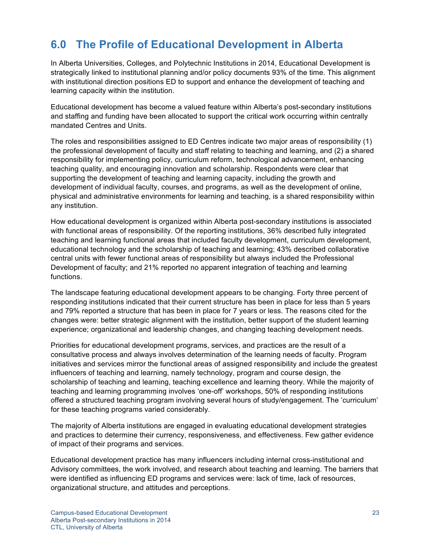## **6.0 The Profile of Educational Development in Alberta**

In Alberta Universities, Colleges, and Polytechnic Institutions in 2014, Educational Development is strategically linked to institutional planning and/or policy documents 93% of the time. This alignment with institutional direction positions ED to support and enhance the development of teaching and learning capacity within the institution.

Educational development has become a valued feature within Alberta's post-secondary institutions and staffing and funding have been allocated to support the critical work occurring within centrally mandated Centres and Units.

The roles and responsibilities assigned to ED Centres indicate two major areas of responsibility (1) the professional development of faculty and staff relating to teaching and learning, and (2) a shared responsibility for implementing policy, curriculum reform, technological advancement, enhancing teaching quality, and encouraging innovation and scholarship. Respondents were clear that supporting the development of teaching and learning capacity, including the growth and development of individual faculty, courses, and programs, as well as the development of online, physical and administrative environments for learning and teaching, is a shared responsibility within any institution.

How educational development is organized within Alberta post-secondary institutions is associated with functional areas of responsibility. Of the reporting institutions, 36% described fully integrated teaching and learning functional areas that included faculty development, curriculum development, educational technology and the scholarship of teaching and learning; 43% described collaborative central units with fewer functional areas of responsibility but always included the Professional Development of faculty; and 21% reported no apparent integration of teaching and learning functions.

The landscape featuring educational development appears to be changing. Forty three percent of responding institutions indicated that their current structure has been in place for less than 5 years and 79% reported a structure that has been in place for 7 years or less. The reasons cited for the changes were: better strategic alignment with the institution, better support of the student learning experience; organizational and leadership changes, and changing teaching development needs.

Priorities for educational development programs, services, and practices are the result of a consultative process and always involves determination of the learning needs of faculty. Program initiatives and services mirror the functional areas of assigned responsibility and include the greatest influencers of teaching and learning, namely technology, program and course design, the scholarship of teaching and learning, teaching excellence and learning theory. While the majority of teaching and learning programming involves 'one-off' workshops, 50% of responding institutions offered a structured teaching program involving several hours of study/engagement. The 'curriculum' for these teaching programs varied considerably.

The majority of Alberta institutions are engaged in evaluating educational development strategies and practices to determine their currency, responsiveness, and effectiveness. Few gather evidence of impact of their programs and services.

Educational development practice has many influencers including internal cross-institutional and Advisory committees, the work involved, and research about teaching and learning. The barriers that were identified as influencing ED programs and services were: lack of time, lack of resources, organizational structure, and attitudes and perceptions.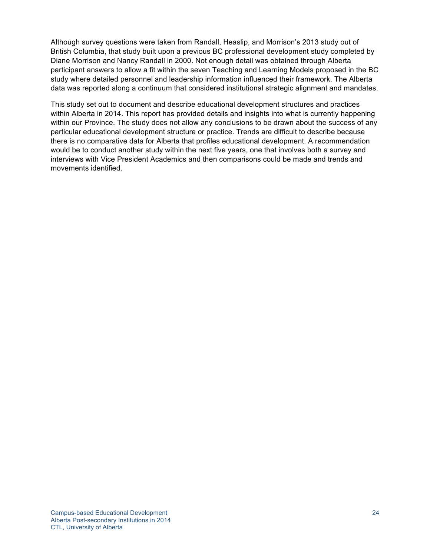Although survey questions were taken from Randall, Heaslip, and Morrison's 2013 study out of British Columbia, that study built upon a previous BC professional development study completed by Diane Morrison and Nancy Randall in 2000. Not enough detail was obtained through Alberta participant answers to allow a fit within the seven Teaching and Learning Models proposed in the BC study where detailed personnel and leadership information influenced their framework. The Alberta data was reported along a continuum that considered institutional strategic alignment and mandates.

This study set out to document and describe educational development structures and practices within Alberta in 2014. This report has provided details and insights into what is currently happening within our Province. The study does not allow any conclusions to be drawn about the success of any particular educational development structure or practice. Trends are difficult to describe because there is no comparative data for Alberta that profiles educational development. A recommendation would be to conduct another study within the next five years, one that involves both a survey and interviews with Vice President Academics and then comparisons could be made and trends and movements identified.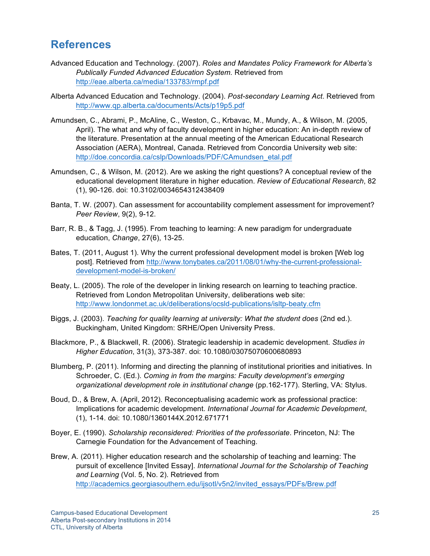### **References**

- Advanced Education and Technology. (2007). *Roles and Mandates Policy Framework for Alberta's Publically Funded Advanced Education System.* Retrieved from http://eae.alberta.ca/media/133783/rmpf.pdf
- Alberta Advanced Education and Technology. (2004). *Post-secondary Learning Act*. Retrieved from http://www.qp.alberta.ca/documents/Acts/p19p5.pdf
- Amundsen, C., Abrami, P., McAline, C., Weston, C., Krbavac, M., Mundy, A., & Wilson, M. (2005, April). The what and why of faculty development in higher education: An in-depth review of the literature. Presentation at the annual meeting of the American Educational Research Association (AERA), Montreal, Canada. Retrieved from Concordia University web site: http://doe.concordia.ca/cslp/Downloads/PDF/CAmundsen\_etal.pdf
- Amundsen, C., & Wilson, M. (2012). Are we asking the right questions? A conceptual review of the educational development literature in higher education. *Review of Educational Research*, 82 (1), 90-126. doi: 10.3102/0034654312438409
- Banta, T. W. (2007). Can assessment for accountability complement assessment for improvement? *Peer Review*, 9(2), 9-12.
- Barr, R. B., & Tagg, J. (1995). From teaching to learning: A new paradigm for undergraduate education, *Change*, 27(6), 13-25.
- Bates, T. (2011, August 1). Why the current professional development model is broken [Web log post]. Retrieved from http://www.tonybates.ca/2011/08/01/why-the-current-professionaldevelopment-model-is-broken/
- Beaty, L. (2005). The role of the developer in linking research on learning to teaching practice. Retrieved from London Metropolitan University, deliberations web site: http://www.londonmet.ac.uk/deliberations/ocsld-publications/isltp-beaty.cfm
- Biggs, J. (2003). *Teaching for quality learning at university: What the student does* (2nd ed.). Buckingham, United Kingdom: SRHE/Open University Press.
- Blackmore, P., & Blackwell, R. (2006). Strategic leadership in academic development. *Studies in Higher Education*, 31(3), 373-387. doi: 10.1080/03075070600680893
- Blumberg, P. (2011). Informing and directing the planning of institutional priorities and initiatives. In Schroeder, C. (Ed.). *Coming in from the margins: Faculty development's emerging organizational development role in institutional change* (pp.162-177). Sterling, VA: Stylus.
- Boud, D., & Brew, A. (April, 2012). Reconceptualising academic work as professional practice: Implications for academic development. *International Journal for Academic Development*, (1), 1-14. doi: 10.1080/1360144X.2012.671771
- Boyer, E. (1990). *Scholarship reconsidered: Priorities of the professoriate*. Princeton, NJ: The Carnegie Foundation for the Advancement of Teaching.
- Brew, A. (2011). Higher education research and the scholarship of teaching and learning: The pursuit of excellence [Invited Essay]. *International Journal for the Scholarship of Teaching and Learning* (Vol. 5, No. 2). Retrieved from http://academics.georgiasouthern.edu/ijsotl/v5n2/invited\_essays/PDFs/Brew.pdf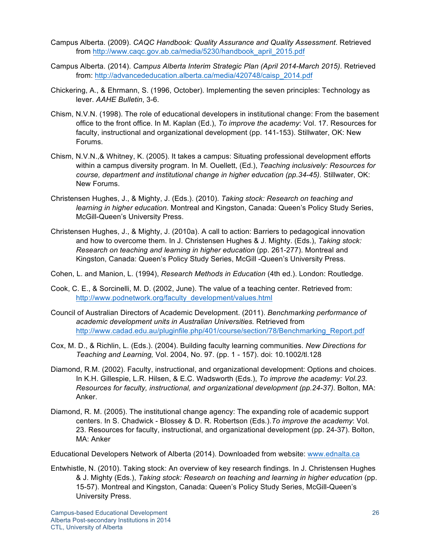- Campus Alberta. (2009). *CAQC Handbook: Quality Assurance and Quality Assessment*. Retrieved from http://www.caqc.gov.ab.ca/media/5230/handbook\_april\_2015.pdf
- Campus Alberta. (2014). *Campus Alberta Interim Strategic Plan (April 2014-March 2015)*. Retrieved from: http://advancededucation.alberta.ca/media/420748/caisp\_2014.pdf
- Chickering, A., & Ehrmann, S. (1996, October). Implementing the seven principles: Technology as lever. *AAHE Bulletin*, 3-6.
- Chism, N.V.N. (1998). The role of educational developers in institutional change: From the basement office to the front office. In M. Kaplan (Ed.), *To improve the academy*: Vol. 17. Resources for faculty, instructional and organizational development (pp. 141-153). Stillwater, OK: New Forums.
- Chism, N.V.N.,& Whitney, K. (2005). It takes a campus: Situating professional development efforts within a campus diversity program. In M. Ouellett, (Ed.), *Teaching inclusively: Resources for course, department and institutional change in higher education (pp.34-45).* Stillwater, OK: New Forums.
- Christensen Hughes, J., & Mighty, J. (Eds.). (2010). *Taking stock: Research on teaching and learning in higher education.* Montreal and Kingston, Canada: Queen's Policy Study Series, McGill-Queen's University Press.
- Christensen Hughes, J., & Mighty, J. (2010a). A call to action: Barriers to pedagogical innovation and how to overcome them. In J. Christensen Hughes & J. Mighty. (Eds.), *Taking stock: Research on teaching and learning in higher education* (pp. 261-277). Montreal and Kingston, Canada: Queen's Policy Study Series, McGill -Queen's University Press.

Cohen, L. and Manion, L. (1994), *Research Methods in Education* (4th ed.). London: Routledge.

- Cook, C. E., & Sorcinelli, M. D. (2002, June). The value of a teaching center. Retrieved from: http://www.podnetwork.org/faculty\_development/values.html
- Council of Australian Directors of Academic Development. (2011). *Benchmarking performance of academic development units in Australian Universities.* Retrieved from http://www.cadad.edu.au/pluginfile.php/401/course/section/78/Benchmarking\_Report.pdf
- Cox, M. D., & Richlin, L. (Eds.). (2004). Building faculty learning communities. *New Directions for Teaching and Learning,* Vol. 2004, No. 97. (pp. 1 - 157). doi: 10.1002/tl.128
- Diamond, R.M. (2002). Faculty, instructional, and organizational development: Options and choices. In K.H. Gillespie, L.R. Hilsen, & E.C. Wadsworth (Eds.), *To improve the academy: Vol.23. Resources for faculty, instructional, and organizational development (pp.24-37).* Bolton, MA: Anker.
- Diamond, R. M. (2005). The institutional change agency: The expanding role of academic support centers. In S. Chadwick - Blossey & D. R. Robertson (Eds.).*To improve the academy*: Vol. 23. Resources for faculty, instructional, and organizational development (pp. 24-37). Bolton, MA: Anker

Educational Developers Network of Alberta (2014). Downloaded from website: www.ednalta.ca

Entwhistle, N. (2010). Taking stock: An overview of key research findings. In J. Christensen Hughes & J. Mighty (Eds.), *Taking stock: Research on teaching and learning in higher education* (pp. 15-57). Montreal and Kingston, Canada: Queen's Policy Study Series, McGill-Queen's University Press.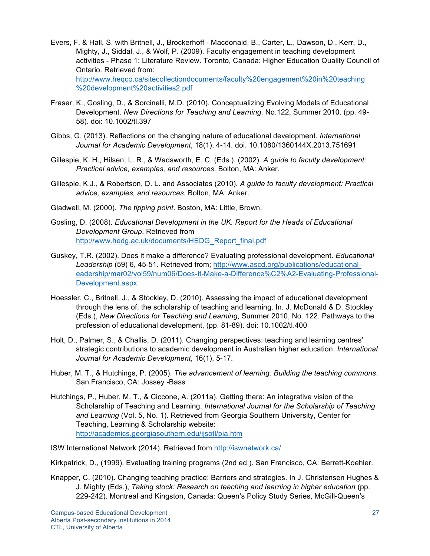- Evers, F. & Hall, S. with Britnell, J., Brockerhoff Macdonald, B., Carter, L., Dawson, D., Kerr, D., Mighty, J., Siddal, J., & Wolf, P. (2009). Faculty engagement in teaching development activities - Phase 1: Literature Review. Toronto, Canada: Higher Education Quality Council of Ontario. Retrieved from: http://www.heqco.ca/sitecollectiondocuments/faculty%20engagement%20in%20teaching %20development%20activities2.pdf
- Fraser, K., Gosling, D., & Sorcinelli, M.D. (2010). Conceptualizing Evolving Models of Educational Development. *New Directions for Teaching and Learning*. No.122, Summer 2010. (pp. 49- 58). doi: 10.1002/tl.397
- Gibbs, G. (2013). Reflections on the changing nature of educational development. *International Journal for Academic Development*, 18(1), 4-14. doi. 10.1080/1360144X.2013.751691
- Gillespie, K. H., Hilsen, L. R., & Wadsworth, E. C. (Eds.). (2002). *A guide to faculty development: Practical advice, examples, and resources*. Bolton, MA: Anker.
- Gillespie, K.J., & Robertson, D. L. and Associates (2010). *A guide to faculty development: Practical advice, examples, and resources.* Bolton, MA: Anker.
- Gladwell, M. (2000). *The tipping point*. Boston, MA: Little, Brown.
- Gosling, D. (2008). *Educational Development in the UK. Report for the Heads of Educational Development Group*. Retrieved from http://www.hedg.ac.uk/documents/HEDG\_Report\_final.pdf
- Guskey, T.R. (2002). Does it make a difference? Evaluating professional development. *Educational Leadership* (59) 6, 45-51. Retrieved from; http://www.ascd.org/publications/educationaleadership/mar02/vol59/num06/Does-It-Make-a-Difference%C2%A2-Evaluating-Professional-Development.aspx
- Hoessler, C., Britnell, J., & Stockley, D. (2010). Assessing the impact of educational development through the lens of. the scholarship of teaching and learning. In. J. McDonald & D. Stockley (Eds.), *New Directions for Teaching and Learning*, Summer 2010, No. 122. Pathways to the profession of educational development, (pp. 81-89). doi: 10.1002/tl.400
- Holt, D., Palmer, S., & Challis, D. (2011). Changing perspectives: teaching and learning centres' strategic contributions to academic development in Australian higher education. *International Journal for Academic Development*, 16(1), 5-17.
- Huber, M. T., & Hutchings, P. (2005). *The advancement of learning: Building the teaching commons*. San Francisco, CA: Jossey -Bass
- Hutchings, P., Huber, M. T., & Ciccone, A. (2011a). Getting there: An integrative vision of the Scholarship of Teaching and Learning. *International Journal for the Scholarship of Teaching and Learning* (Vol. 5, No. 1). Retrieved from Georgia Southern University, Center for Teaching, Learning & Scholarship website: http://academics.georgiasouthern.edu/ijsotl/pia.htm

ISW International Network (2014). Retrieved from http://iswnetwork.ca/

- Kirkpatrick, D., (1999). Evaluating training programs (2nd ed.). San Francisco, CA: Berrett-Koehler.
- Knapper, C. (2010). Changing teaching practice: Barriers and strategies. In J. Christensen Hughes & J. Mighty (Eds.), *Taking stock: Research on teaching and learning in higher education* (pp. 229-242). Montreal and Kingston, Canada: Queen's Policy Study Series, McGill-Queen's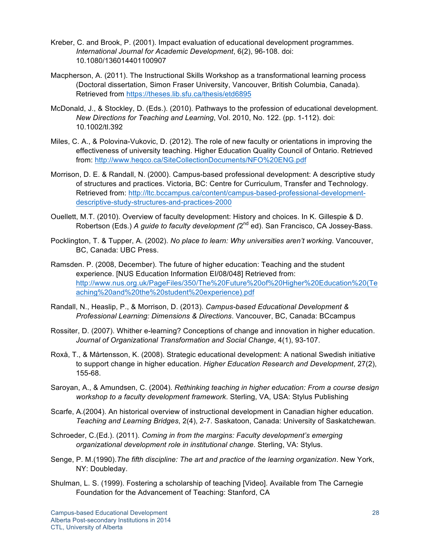- Kreber, C. and Brook, P. (2001). Impact evaluation of educational development programmes. *International Journal for Academic Development*, 6(2), 96-108. doi: 10.1080/136014401100907
- Macpherson, A. (2011). The Instructional Skills Workshop as a transformational learning process (Doctoral dissertation, Simon Fraser University, Vancouver, British Columbia, Canada). Retrieved from https://theses.lib.sfu.ca/thesis/etd6895
- McDonald, J., & Stockley, D. (Eds.). (2010). Pathways to the profession of educational development. *New Directions for Teaching and Learning*, Vol. 2010, No. 122. (pp. 1-112). doi: 10.1002/tl.392
- Miles, C. A., & Polovina-Vukovic, D. (2012). The role of new faculty or orientations in improving the effectiveness of university teaching. Higher Education Quality Council of Ontario. Retrieved from: http://www.heqco.ca/SiteCollectionDocuments/NFO%20ENG.pdf
- Morrison, D. E. & Randall, N. (2000). Campus-based professional development: A descriptive study of structures and practices. Victoria, BC: Centre for Curriculum, Transfer and Technology. Retrieved from: http://ltc.bccampus.ca/content/campus-based-professional-developmentdescriptive-study-structures-and-practices-2000
- Ouellett, M.T. (2010). Overview of faculty development: History and choices. In K. Gillespie & D. Robertson (Eds.) *A guide to faculty development (*2nd ed). San Francisco, CA Jossey-Bass.
- Pocklington, T. & Tupper, A. (2002). *No place to learn: Why universities aren't working*. Vancouver, BC, Canada: UBC Press.
- Ramsden. P. (2008, December). The future of higher education: Teaching and the student experience. [NUS Education Information EI/08/048] Retrieved from: http://www.nus.org.uk/PageFiles/350/The%20Future%20of%20Higher%20Education%20(Te aching%20and%20the%20student%20experience).pdf
- Randall, N., Heaslip, P., & Morrison, D. (2013). *Campus-based Educational Development & Professional Learning: Dimensions & Directions*. Vancouver, BC, Canada: BCcampus
- Rossiter, D. (2007). Whither e-learning? Conceptions of change and innovation in higher education. *Journal of Organizational Transformation and Social Change*, 4(1), 93-107.
- Roxå, T., & Mårtensson, K. (2008). Strategic educational development: A national Swedish initiative to support change in higher education. *Higher Education Research and Development*, 27(2), 155-68.
- Saroyan, A., & Amundsen, C. (2004). *Rethinking teaching in higher education: From a course design workshop to a faculty development framework*. Sterling, VA, USA: Stylus Publishing
- Scarfe, A.(2004). An historical overview of instructional development in Canadian higher education. *Teaching and Learning Bridges*, 2(4), 2-7. Saskatoon, Canada: University of Saskatchewan.
- Schroeder, C.(Ed.). (2011). *Coming in from the margins: Faculty development's emerging organizational development role in institutional change*. Sterling, VA: Stylus.
- Senge, P. M.(1990).*The fifth discipline: The art and practice of the learning organization*. New York, NY: Doubleday.
- Shulman, L. S. (1999). Fostering a scholarship of teaching [Video]. Available from The Carnegie Foundation for the Advancement of Teaching: Stanford, CA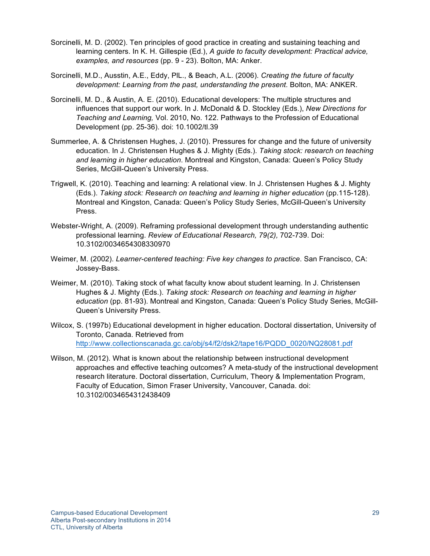- Sorcinelli, M. D. (2002). Ten principles of good practice in creating and sustaining teaching and learning centers. In K. H. Gillespie (Ed.), *A guide to faculty development: Practical advice, examples, and resources* (pp. 9 - 23). Bolton, MA: Anker.
- Sorcinelli, M.D., Ausstin, A.E., Eddy, PlL., & Beach, A.L. (2006). *Creating the future of faculty development: Learning from the past, understanding the present.* Bolton, MA: ANKER.
- Sorcinelli, M. D., & Austin, A. E. (2010). Educational developers: The multiple structures and influences that support our work. In J. McDonald & D. Stockley (Eds.), *New Directions for Teaching and Learning,* Vol. 2010, No. 122. Pathways to the Profession of Educational Development (pp. 25-36). doi: 10.1002/tl.39
- Summerlee, A. & Christensen Hughes, J. (2010). Pressures for change and the future of university education. In J. Christensen Hughes & J. Mighty (Eds.). *Taking stock: research on teaching and learning in higher education*. Montreal and Kingston, Canada: Queen's Policy Study Series, McGill-Queen's University Press.
- Trigwell, K. (2010). Teaching and learning: A relational view. In J. Christensen Hughes & J. Mighty (Eds.). *Taking stock: Research on teaching and learning in higher education* (pp.115-128). Montreal and Kingston, Canada: Queen's Policy Study Series, McGill-Queen's University Press.
- Webster-Wright, A. (2009). Reframing professional development through understanding authentic professional learning. *Review of Educational Research, 79(2),* 702-739. Doi: 10.3102/0034654308330970
- Weimer, M. (2002). *Learner-centered teaching: Five key changes to practice*. San Francisco, CA: Jossey-Bass.
- Weimer, M. (2010). Taking stock of what faculty know about student learning. In J. Christensen Hughes & J. Mighty (Eds.). *Taking stock: Research on teaching and learning in higher education* (pp. 81-93). Montreal and Kingston, Canada: Queen's Policy Study Series, McGill-Queen's University Press.
- Wilcox, S. (1997b) Educational development in higher education. Doctoral dissertation, University of Toronto, Canada. Retrieved from http://www.collectionscanada.gc.ca/obj/s4/f2/dsk2/tape16/PQDD\_0020/NQ28081.pdf
- Wilson, M. (2012). What is known about the relationship between instructional development approaches and effective teaching outcomes? A meta-study of the instructional development research literature. Doctoral dissertation, Curriculum, Theory & Implementation Program, Faculty of Education, Simon Fraser University, Vancouver, Canada. doi: 10.3102/0034654312438409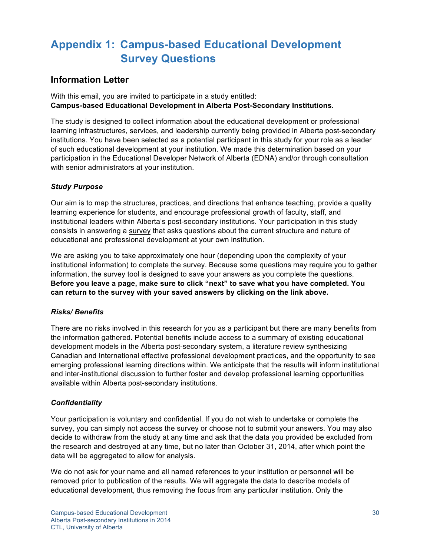## **Appendix 1: Campus-based Educational Development Survey Questions**

### **Information Letter**

With this email, you are invited to participate in a study entitled: **Campus-based Educational Development in Alberta Post-Secondary Institutions.**

The study is designed to collect information about the educational development or professional learning infrastructures, services, and leadership currently being provided in Alberta post-secondary institutions. You have been selected as a potential participant in this study for your role as a leader of such educational development at your institution. We made this determination based on your participation in the Educational Developer Network of Alberta (EDNA) and/or through consultation with senior administrators at your institution.

### *Study Purpose*

Our aim is to map the structures, practices, and directions that enhance teaching, provide a quality learning experience for students, and encourage professional growth of faculty, staff, and institutional leaders within Alberta's post-secondary institutions. Your participation in this study consists in answering a survey that asks questions about the current structure and nature of educational and professional development at your own institution.

We are asking you to take approximately one hour (depending upon the complexity of your institutional information) to complete the survey. Because some questions may require you to gather information, the survey tool is designed to save your answers as you complete the questions. **Before you leave a page, make sure to click "next" to save what you have completed. You can return to the survey with your saved answers by clicking on the link above.**

#### *Risks/ Benefits*

There are no risks involved in this research for you as a participant but there are many benefits from the information gathered. Potential benefits include access to a summary of existing educational development models in the Alberta post-secondary system, a literature review synthesizing Canadian and International effective professional development practices, and the opportunity to see emerging professional learning directions within. We anticipate that the results will inform institutional and inter-institutional discussion to further foster and develop professional learning opportunities available within Alberta post-secondary institutions.

### *Confidentiality*

Your participation is voluntary and confidential. If you do not wish to undertake or complete the survey, you can simply not access the survey or choose not to submit your answers. You may also decide to withdraw from the study at any time and ask that the data you provided be excluded from the research and destroyed at any time, but no later than October 31, 2014, after which point the data will be aggregated to allow for analysis.

We do not ask for your name and all named references to your institution or personnel will be removed prior to publication of the results. We will aggregate the data to describe models of educational development, thus removing the focus from any particular institution. Only the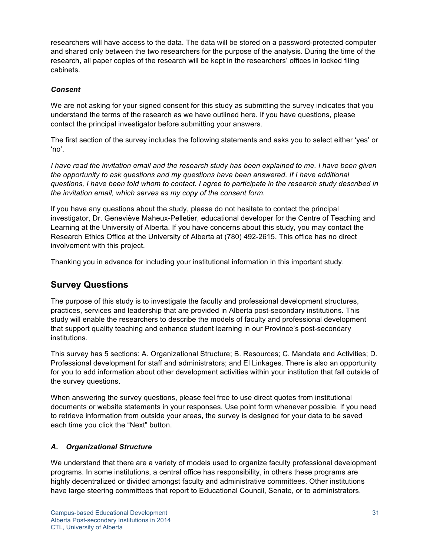researchers will have access to the data. The data will be stored on a password-protected computer and shared only between the two researchers for the purpose of the analysis. During the time of the research, all paper copies of the research will be kept in the researchers' offices in locked filing cabinets.

#### *Consent*

We are not asking for your signed consent for this study as submitting the survey indicates that you understand the terms of the research as we have outlined here. If you have questions, please contact the principal investigator before submitting your answers.

The first section of the survey includes the following statements and asks you to select either 'yes' or 'no'.

*I have read the invitation email and the research study has been explained to me. I have been given the opportunity to ask questions and my questions have been answered. If I have additional questions, I have been told whom to contact. I agree to participate in the research study described in the invitation email, which serves as my copy of the consent form.*

If you have any questions about the study, please do not hesitate to contact the principal investigator, Dr. Geneviève Maheux-Pelletier, educational developer for the Centre of Teaching and Learning at the University of Alberta. If you have concerns about this study, you may contact the Research Ethics Office at the University of Alberta at (780) 492-2615. This office has no direct involvement with this project.

Thanking you in advance for including your institutional information in this important study.

### **Survey Questions**

The purpose of this study is to investigate the faculty and professional development structures, practices, services and leadership that are provided in Alberta post-secondary institutions. This study will enable the researchers to describe the models of faculty and professional development that support quality teaching and enhance student learning in our Province's post-secondary institutions.

This survey has 5 sections: A. Organizational Structure; B. Resources; C. Mandate and Activities; D. Professional development for staff and administrators; and El Linkages. There is also an opportunity for you to add information about other development activities within your institution that fall outside of the survey questions.

When answering the survey questions, please feel free to use direct quotes from institutional documents or website statements in your responses. Use point form whenever possible. If you need to retrieve information from outside your areas, the survey is designed for your data to be saved each time you click the "Next" button.

### *A. Organizational Structure*

We understand that there are a variety of models used to organize faculty professional development programs. In some institutions, a central office has responsibility, in others these programs are highly decentralized or divided amongst faculty and administrative committees. Other institutions have large steering committees that report to Educational Council, Senate, or to administrators.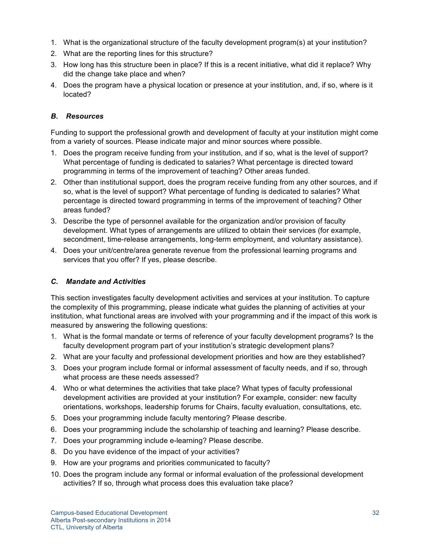- 1. What is the organizational structure of the faculty development program(s) at your institution?
- 2. What are the reporting lines for this structure?
- 3. How long has this structure been in place? If this is a recent initiative, what did it replace? Why did the change take place and when?
- 4. Does the program have a physical location or presence at your institution, and, if so, where is it located?

### *B. Resources*

Funding to support the professional growth and development of faculty at your institution might come from a variety of sources. Please indicate major and minor sources where possible.

- 1. Does the program receive funding from your institution, and if so, what is the level of support? What percentage of funding is dedicated to salaries? What percentage is directed toward programming in terms of the improvement of teaching? Other areas funded.
- 2. Other than institutional support, does the program receive funding from any other sources, and if so, what is the level of support? What percentage of funding is dedicated to salaries? What percentage is directed toward programming in terms of the improvement of teaching? Other areas funded?
- 3. Describe the type of personnel available for the organization and/or provision of faculty development. What types of arrangements are utilized to obtain their services (for example, secondment, time-release arrangements, long-term employment, and voluntary assistance).
- 4. Does your unit/centre/area generate revenue from the professional learning programs and services that you offer? If yes, please describe.

### *C. Mandate and Activities*

This section investigates faculty development activities and services at your institution. To capture the complexity of this programming, please indicate what guides the planning of activities at your institution, what functional areas are involved with your programming and if the impact of this work is measured by answering the following questions:

- 1. What is the formal mandate or terms of reference of your faculty development programs? Is the faculty development program part of your institution's strategic development plans?
- 2. What are your faculty and professional development priorities and how are they established?
- 3. Does your program include formal or informal assessment of faculty needs, and if so, through what process are these needs assessed?
- 4. Who or what determines the activities that take place? What types of faculty professional development activities are provided at your institution? For example, consider: new faculty orientations, workshops, leadership forums for Chairs, faculty evaluation, consultations, etc.
- 5. Does your programming include faculty mentoring? Please describe.
- 6. Does your programming include the scholarship of teaching and learning? Please describe.
- 7. Does your programming include e-learning? Please describe.
- 8. Do you have evidence of the impact of your activities?
- 9. How are your programs and priorities communicated to faculty?
- 10. Does the program include any formal or informal evaluation of the professional development activities? If so, through what process does this evaluation take place?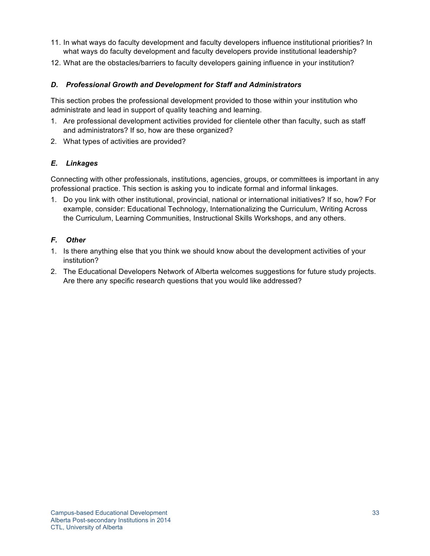- 11. In what ways do faculty development and faculty developers influence institutional priorities? In what ways do faculty development and faculty developers provide institutional leadership?
- 12. What are the obstacles/barriers to faculty developers gaining influence in your institution?

#### *D. Professional Growth and Development for Staff and Administrators*

This section probes the professional development provided to those within your institution who administrate and lead in support of quality teaching and learning.

- 1. Are professional development activities provided for clientele other than faculty, such as staff and administrators? If so, how are these organized?
- 2. What types of activities are provided?

#### *E. Linkages*

Connecting with other professionals, institutions, agencies, groups, or committees is important in any professional practice. This section is asking you to indicate formal and informal linkages.

1. Do you link with other institutional, provincial, national or international initiatives? If so, how? For example, consider: Educational Technology, Internationalizing the Curriculum, Writing Across the Curriculum, Learning Communities, Instructional Skills Workshops, and any others.

#### *F. Other*

- 1. Is there anything else that you think we should know about the development activities of your institution?
- 2. The Educational Developers Network of Alberta welcomes suggestions for future study projects. Are there any specific research questions that you would like addressed?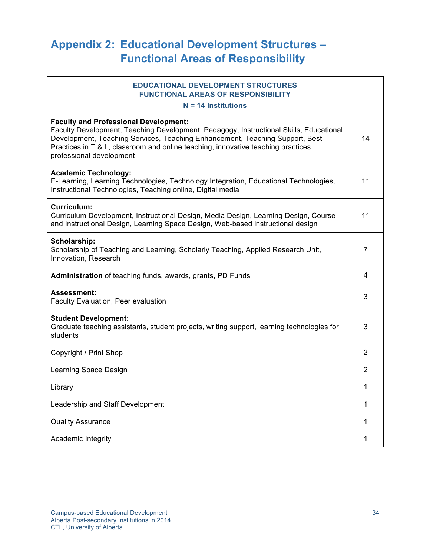## **Appendix 2: Educational Development Structures – Functional Areas of Responsibility**

### **EDUCATIONAL DEVELOPMENT STRUCTURES FUNCTIONAL AREAS OF RESPONSIBILITY**

**N = 14 Institutions Faculty and Professional Development:** Faculty Development, Teaching Development, Pedagogy, Instructional Skills, Educational Development, Teaching Services, Teaching Enhancement, Teaching Support, Best Practices in T & L, classroom and online teaching, innovative teaching practices, professional development **Academic Technology:** E-Learning, Learning Technologies, Technology Integration, Educational Technologies,

Instructional Technologies, Teaching online, Digital media

| Curriculum:                                                                         |    |
|-------------------------------------------------------------------------------------|----|
| Curriculum Development, Instructional Design, Media Design, Learning Design, Course | 11 |
| and Instructional Design, Learning Space Design, Web-based instructional design     |    |

| Scholarship:<br>Scholarship of Teaching and Learning, Scholarly Teaching, Applied Research Unit,<br>Innovation, Research              |   |
|---------------------------------------------------------------------------------------------------------------------------------------|---|
| <b>Administration</b> of teaching funds, awards, grants, PD Funds                                                                     | 4 |
| <b>Assessment:</b><br><b>Faculty Evaluation, Peer evaluation</b>                                                                      | 3 |
| <b>Student Development:</b><br>Graduate teaching assistants, student projects, writing support, learning technologies for<br>students | 3 |
| Copyright / Print Shop                                                                                                                | 2 |
| Learning Space Design                                                                                                                 | 2 |
| Library                                                                                                                               |   |
| Leadership and Staff Development                                                                                                      |   |
|                                                                                                                                       |   |

Quality Assurance 2008 1 2009 1 2009 1 2009 1 2009 1 2009 1 2009 1 2009 1 2009 1 2009 1 2009 1 2009 1 2009 1 2009 1 2009 1 2009 1 2009 1 2009 1 2009 1 2009 1 2009 1 2009 1 2009 1 2009 1 2009 1 2009 1 2009 1 2009 1 2009 1 2

Academic Integrity 1

14

11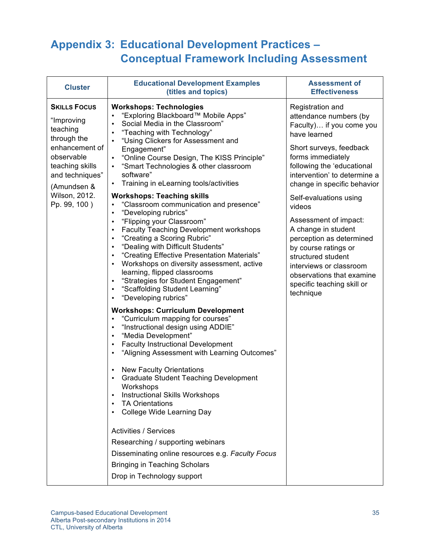## **Appendix 3: Educational Development Practices – Conceptual Framework Including Assessment**

| <b>Cluster</b>                                                                                                                                    | <b>Educational Development Examples</b><br>(titles and topics)                                                                                                                                                                                                                                                                                                                                                                                                                                                                                                                                                                                                                                                                                                                                                                                                                                                                                                                                                                                                                                                                                                                                                                                                                          | <b>Assessment of</b><br><b>Effectiveness</b>                                                                                                                                                                                                                  |
|---------------------------------------------------------------------------------------------------------------------------------------------------|-----------------------------------------------------------------------------------------------------------------------------------------------------------------------------------------------------------------------------------------------------------------------------------------------------------------------------------------------------------------------------------------------------------------------------------------------------------------------------------------------------------------------------------------------------------------------------------------------------------------------------------------------------------------------------------------------------------------------------------------------------------------------------------------------------------------------------------------------------------------------------------------------------------------------------------------------------------------------------------------------------------------------------------------------------------------------------------------------------------------------------------------------------------------------------------------------------------------------------------------------------------------------------------------|---------------------------------------------------------------------------------------------------------------------------------------------------------------------------------------------------------------------------------------------------------------|
| <b>SKILLS FOCUS</b><br>"Improving<br>teaching<br>through the<br>enhancement of<br>observable<br>teaching skills<br>and techniques"<br>(Amundsen & | <b>Workshops: Technologies</b><br>"Exploring Blackboard™ Mobile Apps"<br>Social Media in the Classroom"<br>$\bullet$<br>"Teaching with Technology"<br>$\bullet$<br>"Using Clickers for Assessment and<br>Engagement"<br>"Online Course Design, The KISS Principle"<br>$\bullet$<br>"Smart Technologies & other classroom<br>$\bullet$<br>software"<br>Training in eLearning tools/activities<br>$\bullet$                                                                                                                                                                                                                                                                                                                                                                                                                                                                                                                                                                                                                                                                                                                                                                                                                                                                               | Registration and<br>attendance numbers (by<br>Faculty) if you come you<br>have learned<br>Short surveys, feedback<br>forms immediately<br>following the 'educational<br>intervention' to determine a<br>change in specific behavior                           |
| Wilson, 2012.<br>Pp. 99, 100)                                                                                                                     | <b>Workshops: Teaching skills</b><br>"Classroom communication and presence"<br>$\bullet$<br>"Developing rubrics"<br>$\bullet$<br>"Flipping your Classroom"<br>$\bullet$<br><b>Faculty Teaching Development workshops</b><br>$\bullet$<br>"Creating a Scoring Rubric"<br>$\bullet$<br>"Dealing with Difficult Students"<br>$\bullet$<br>"Creating Effective Presentation Materials"<br>Workshops on diversity assessment, active<br>$\bullet$<br>learning, flipped classrooms<br>"Strategies for Student Engagement"<br>"Scaffolding Student Learning"<br>"Developing rubrics"<br><b>Workshops: Curriculum Development</b><br>"Curriculum mapping for courses"<br>$\bullet$<br>"Instructional design using ADDIE"<br>$\bullet$<br>"Media Development"<br>$\bullet$<br><b>Faculty Instructional Development</b><br>$\bullet$<br>"Aligning Assessment with Learning Outcomes"<br><b>New Faculty Orientations</b><br>$\bullet$<br><b>Graduate Student Teaching Development</b><br>Workshops<br><b>Instructional Skills Workshops</b><br><b>TA Orientations</b><br>College Wide Learning Day<br><b>Activities / Services</b><br>Researching / supporting webinars<br>Disseminating online resources e.g. Faculty Focus<br><b>Bringing in Teaching Scholars</b><br>Drop in Technology support | Self-evaluations using<br>videos<br>Assessment of impact:<br>A change in student<br>perception as determined<br>by course ratings or<br>structured student<br>interviews or classroom<br>observations that examine<br>specific teaching skill or<br>technique |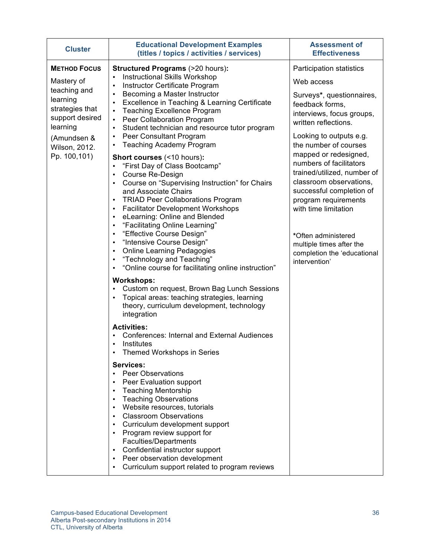| <b>Cluster</b>                                                                                                                                                  | <b>Educational Development Examples</b><br>(titles / topics / activities / services)                                                                                                                                                                                                                                                                                                                                                                                                                                                                                                                                                                         | <b>Assessment of</b><br><b>Effectiveness</b>                                                                                                                                                                                                                                                                                                                                                                                                 |
|-----------------------------------------------------------------------------------------------------------------------------------------------------------------|--------------------------------------------------------------------------------------------------------------------------------------------------------------------------------------------------------------------------------------------------------------------------------------------------------------------------------------------------------------------------------------------------------------------------------------------------------------------------------------------------------------------------------------------------------------------------------------------------------------------------------------------------------------|----------------------------------------------------------------------------------------------------------------------------------------------------------------------------------------------------------------------------------------------------------------------------------------------------------------------------------------------------------------------------------------------------------------------------------------------|
| <b>METHOD FOCUS</b><br>Mastery of<br>teaching and<br>learning<br>strategies that<br>support desired<br>learning<br>(Amundsen &<br>Wilson, 2012.<br>Pp. 100,101) | <b>Structured Programs (&gt;20 hours):</b><br><b>Instructional Skills Workshop</b><br>Instructor Certificate Program<br>Becoming a Master Instructor<br>$\bullet$<br>Excellence in Teaching & Learning Certificate<br>$\bullet$                                                                                                                                                                                                                                                                                                                                                                                                                              | Participation statistics<br>Web access<br>Surveys*, questionnaires,<br>feedback forms,<br>interviews, focus groups,<br>written reflections.<br>Looking to outputs e.g.<br>the number of courses<br>mapped or redesigned,<br>numbers of facilitators<br>trained/utilized, number of<br>classroom observations,<br>successful completion of<br>program requirements<br>with time limitation<br>*Often administered<br>multiple times after the |
|                                                                                                                                                                 | <b>Teaching Excellence Program</b><br>$\bullet$<br>Peer Collaboration Program<br>$\bullet$<br>Student technician and resource tutor program<br>$\bullet$<br>Peer Consultant Program<br>$\bullet$<br><b>Teaching Academy Program</b><br>$\bullet$<br>Short courses (<10 hours):<br>"First Day of Class Bootcamp"<br>Course Re-Design<br>Course on "Supervising Instruction" for Chairs<br>and Associate Chairs<br><b>TRIAD Peer Collaborations Program</b><br><b>Facilitator Development Workshops</b><br>eLearning: Online and Blended<br>"Facilitating Online Learning"<br>"Effective Course Design"<br>$\bullet$<br>"Intensive Course Design"<br>$\bullet$ |                                                                                                                                                                                                                                                                                                                                                                                                                                              |
|                                                                                                                                                                 | <b>Online Learning Pedagogies</b><br>$\bullet$<br>"Technology and Teaching"<br>$\bullet$<br>"Online course for facilitating online instruction"<br>$\bullet$<br><b>Workshops:</b><br>Custom on request, Brown Bag Lunch Sessions<br>Topical areas: teaching strategies, learning<br>theory, curriculum development, technology<br>integration<br><b>Activities:</b>                                                                                                                                                                                                                                                                                          | completion the 'educational<br>intervention'                                                                                                                                                                                                                                                                                                                                                                                                 |
|                                                                                                                                                                 | Conferences: Internal and External Audiences<br>Institutes<br>Themed Workshops in Series<br><b>Services:</b><br><b>Peer Observations</b><br>Peer Evaluation support<br><b>Teaching Mentorship</b><br><b>Teaching Observations</b><br>Website resources, tutorials<br><b>Classroom Observations</b><br>$\bullet$<br>Curriculum development support<br>Program review support for<br>Faculties/Departments<br>Confidential instructor support<br>٠<br>Peer observation development<br>Curriculum support related to program reviews                                                                                                                            |                                                                                                                                                                                                                                                                                                                                                                                                                                              |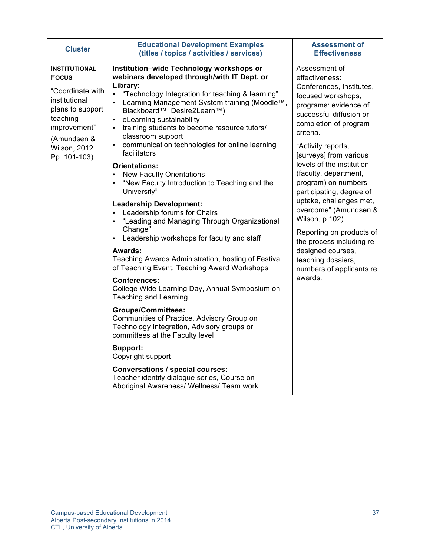| <b>Cluster</b>                                                                                                                                                            | <b>Educational Development Examples</b><br>(titles / topics / activities / services)                                                                                                                                                                                                                                                                                                                                                                                                                                                                                                                                                                                                                                                                                                                                                                                                                                                                                                                                                                                                                                                                                                                                                                                                        | <b>Assessment of</b><br><b>Effectiveness</b>                                                                                                                                                                                                                                                                                                                                                                                                                                                                                                           |
|---------------------------------------------------------------------------------------------------------------------------------------------------------------------------|---------------------------------------------------------------------------------------------------------------------------------------------------------------------------------------------------------------------------------------------------------------------------------------------------------------------------------------------------------------------------------------------------------------------------------------------------------------------------------------------------------------------------------------------------------------------------------------------------------------------------------------------------------------------------------------------------------------------------------------------------------------------------------------------------------------------------------------------------------------------------------------------------------------------------------------------------------------------------------------------------------------------------------------------------------------------------------------------------------------------------------------------------------------------------------------------------------------------------------------------------------------------------------------------|--------------------------------------------------------------------------------------------------------------------------------------------------------------------------------------------------------------------------------------------------------------------------------------------------------------------------------------------------------------------------------------------------------------------------------------------------------------------------------------------------------------------------------------------------------|
| <b>INSTITUTIONAL</b><br><b>Focus</b><br>"Coordinate with<br>institutional<br>plans to support<br>teaching<br>improvement"<br>(Amundsen &<br>Wilson, 2012.<br>Pp. 101-103) | Institution-wide Technology workshops or<br>webinars developed through/with IT Dept. or<br>Library:<br>"Technology Integration for teaching & learning"<br>Learning Management System training (Moodle™,<br>Blackboard™. Desire2Learn™)<br>eLearning sustainability<br>training students to become resource tutors/<br>classroom support<br>communication technologies for online learning<br>$\bullet$<br>facilitators<br><b>Orientations:</b><br><b>New Faculty Orientations</b><br>"New Faculty Introduction to Teaching and the<br>University"<br><b>Leadership Development:</b><br>Leadership forums for Chairs<br>"Leading and Managing Through Organizational<br>Change"<br>Leadership workshops for faculty and staff<br>Awards:<br>Teaching Awards Administration, hosting of Festival<br>of Teaching Event, Teaching Award Workshops<br><b>Conferences:</b><br>College Wide Learning Day, Annual Symposium on<br><b>Teaching and Learning</b><br><b>Groups/Committees:</b><br>Communities of Practice, Advisory Group on<br>Technology Integration, Advisory groups or<br>committees at the Faculty level<br>Support:<br>Copyright support<br><b>Conversations / special courses:</b><br>Teacher identity dialogue series, Course on<br>Aboriginal Awareness/ Wellness/ Team work | Assessment of<br>effectiveness:<br>Conferences, Institutes,<br>focused workshops,<br>programs: evidence of<br>successful diffusion or<br>completion of program<br>criteria.<br>"Activity reports,<br>[surveys] from various<br>levels of the institution<br>(faculty, department,<br>program) on numbers<br>participating, degree of<br>uptake, challenges met,<br>overcome" (Amundsen &<br>Wilson, p.102)<br>Reporting on products of<br>the process including re-<br>designed courses,<br>teaching dossiers,<br>numbers of applicants re:<br>awards. |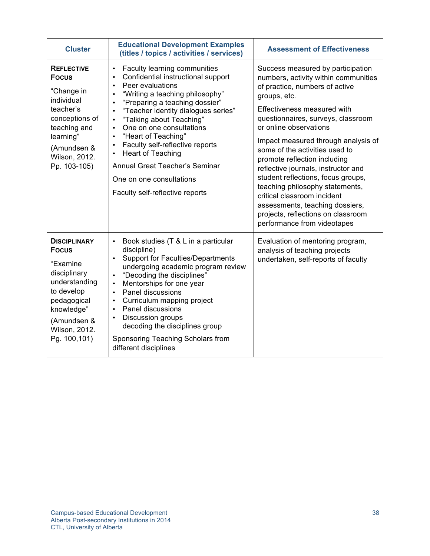| <b>Cluster</b>                                                                                                                                                              | <b>Educational Development Examples</b><br>(titles / topics / activities / services)                                                                                                                                                                                                                                                                                                                                                                                                                                                                                   | <b>Assessment of Effectiveness</b>                                                                                                                                                                                                                                                                                                                                                                                                                                                                                                                                                         |
|-----------------------------------------------------------------------------------------------------------------------------------------------------------------------------|------------------------------------------------------------------------------------------------------------------------------------------------------------------------------------------------------------------------------------------------------------------------------------------------------------------------------------------------------------------------------------------------------------------------------------------------------------------------------------------------------------------------------------------------------------------------|--------------------------------------------------------------------------------------------------------------------------------------------------------------------------------------------------------------------------------------------------------------------------------------------------------------------------------------------------------------------------------------------------------------------------------------------------------------------------------------------------------------------------------------------------------------------------------------------|
| <b>REFLECTIVE</b><br><b>Focus</b><br>"Change in<br>individual<br>teacher's<br>conceptions of<br>teaching and<br>learning"<br>(Amundsen &<br>Wilson, 2012.<br>Pp. 103-105)   | Faculty learning communities<br>$\bullet$<br>Confidential instructional support<br>$\bullet$<br>Peer evaluations<br>$\bullet$<br>"Writing a teaching philosophy"<br>"Preparing a teaching dossier"<br>"Teacher identity dialogues series"<br>$\bullet$<br>"Talking about Teaching"<br>$\bullet$<br>One on one consultations<br>$\bullet$<br>"Heart of Teaching"<br>$\bullet$<br>Faculty self-reflective reports<br>$\bullet$<br><b>Heart of Teaching</b><br>$\bullet$<br>Annual Great Teacher's Seminar<br>One on one consultations<br>Faculty self-reflective reports | Success measured by participation<br>numbers, activity within communities<br>of practice, numbers of active<br>groups, etc.<br>Effectiveness measured with<br>questionnaires, surveys, classroom<br>or online observations<br>Impact measured through analysis of<br>some of the activities used to<br>promote reflection including<br>reflective journals, instructor and<br>student reflections, focus groups,<br>teaching philosophy statements,<br>critical classroom incident<br>assessments, teaching dossiers,<br>projects, reflections on classroom<br>performance from videotapes |
| <b>DISCIPLINARY</b><br><b>Focus</b><br>"Examine<br>disciplinary<br>understanding<br>to develop<br>pedagogical<br>knowledge"<br>(Amundsen &<br>Wilson, 2012.<br>Pg. 100,101) | Book studies (T & L in a particular<br>$\bullet$<br>discipline)<br><b>Support for Faculties/Departments</b><br>undergoing academic program review<br>"Decoding the disciplines"<br>Mentorships for one year<br>$\bullet$<br>Panel discussions<br>$\bullet$<br>Curriculum mapping project<br>$\bullet$<br>Panel discussions<br>$\bullet$<br>Discussion groups<br>$\bullet$<br>decoding the disciplines group<br>Sponsoring Teaching Scholars from<br>different disciplines                                                                                              | Evaluation of mentoring program,<br>analysis of teaching projects<br>undertaken, self-reports of faculty                                                                                                                                                                                                                                                                                                                                                                                                                                                                                   |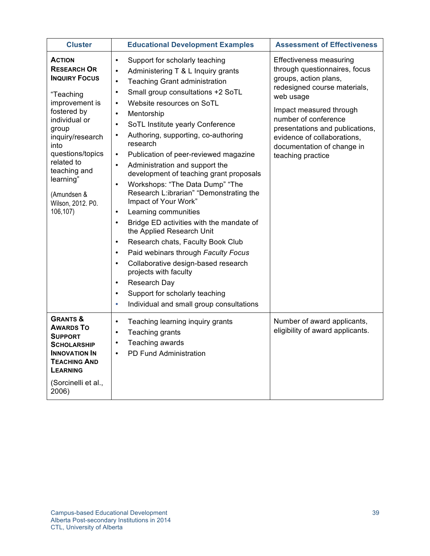| <b>Cluster</b>                                                                                                                                                                                                                                                                 | <b>Educational Development Examples</b>                                                                                                                                                                                                                                                                                                                                                                                                                                                                                                                                                                                                                                                                                                                                                                                                                                                                                                                                                                                                                                                                           | <b>Assessment of Effectiveness</b>                                                                                                                                                                                                                                                                     |
|--------------------------------------------------------------------------------------------------------------------------------------------------------------------------------------------------------------------------------------------------------------------------------|-------------------------------------------------------------------------------------------------------------------------------------------------------------------------------------------------------------------------------------------------------------------------------------------------------------------------------------------------------------------------------------------------------------------------------------------------------------------------------------------------------------------------------------------------------------------------------------------------------------------------------------------------------------------------------------------------------------------------------------------------------------------------------------------------------------------------------------------------------------------------------------------------------------------------------------------------------------------------------------------------------------------------------------------------------------------------------------------------------------------|--------------------------------------------------------------------------------------------------------------------------------------------------------------------------------------------------------------------------------------------------------------------------------------------------------|
| <b>ACTION</b><br><b>RESEARCH OR</b><br><b>INQUIRY FOCUS</b><br>"Teaching<br>improvement is<br>fostered by<br>individual or<br>group<br>inquiry/research<br>into<br>questions/topics<br>related to<br>teaching and<br>learning"<br>(Amundsen &<br>Wilson, 2012. P0.<br>106,107) | Support for scholarly teaching<br>$\bullet$<br>Administering T & L Inquiry grants<br>$\bullet$<br><b>Teaching Grant administration</b><br>$\bullet$<br>Small group consultations +2 SoTL<br>$\bullet$<br>Website resources on SoTL<br>$\bullet$<br>Mentorship<br>$\bullet$<br>SoTL Institute yearly Conference<br>$\bullet$<br>Authoring, supporting, co-authoring<br>$\bullet$<br>research<br>Publication of peer-reviewed magazine<br>$\bullet$<br>Administration and support the<br>$\bullet$<br>development of teaching grant proposals<br>Workshops: "The Data Dump" "The<br>$\bullet$<br>Research L:ibrarian" "Demonstrating the<br>Impact of Your Work"<br>Learning communities<br>$\bullet$<br>Bridge ED activities with the mandate of<br>$\bullet$<br>the Applied Research Unit<br>Research chats, Faculty Book Club<br>$\bullet$<br>Paid webinars through Faculty Focus<br>$\bullet$<br>Collaborative design-based research<br>$\bullet$<br>projects with faculty<br>Research Day<br>$\bullet$<br>Support for scholarly teaching<br>$\bullet$<br>Individual and small group consultations<br>$\bullet$ | Effectiveness measuring<br>through questionnaires, focus<br>groups, action plans,<br>redesigned course materials,<br>web usage<br>Impact measured through<br>number of conference<br>presentations and publications,<br>evidence of collaborations,<br>documentation of change in<br>teaching practice |
| <b>GRANTS &amp;</b><br><b>AWARDS TO</b><br><b>SUPPORT</b><br><b>SCHOLARSHIP</b><br><b>INNOVATION IN</b><br><b>TEACHING AND</b><br><b>LEARNING</b><br>(Sorcinelli et al.,<br>2006)                                                                                              | $\bullet$<br>Teaching learning inquiry grants<br>Teaching grants<br>$\bullet$<br>Teaching awards<br>$\bullet$<br>PD Fund Administration<br>$\bullet$                                                                                                                                                                                                                                                                                                                                                                                                                                                                                                                                                                                                                                                                                                                                                                                                                                                                                                                                                              | Number of award applicants,<br>eligibility of award applicants.                                                                                                                                                                                                                                        |